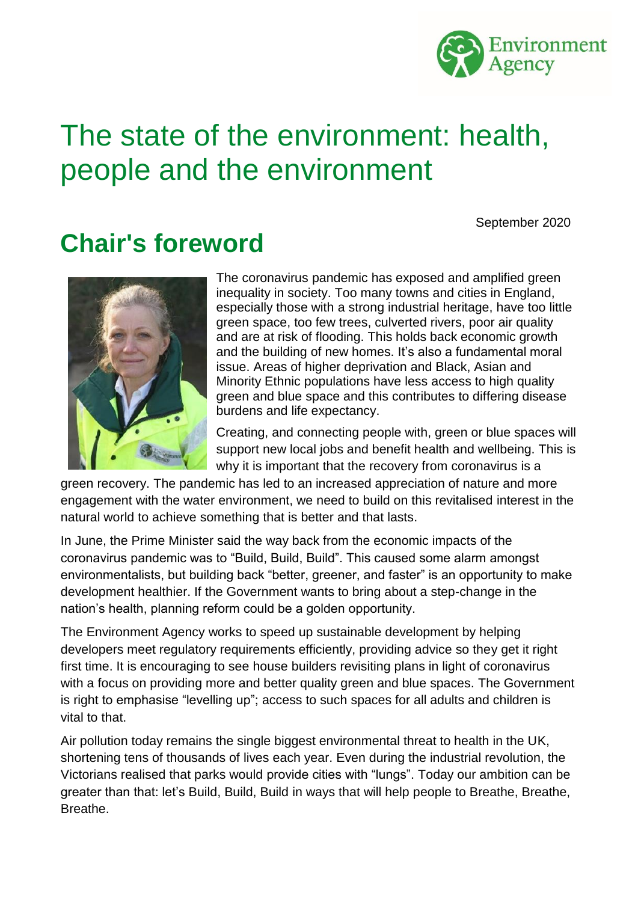

# <span id="page-0-0"></span>The state of the environment: health, people and the environment

September 2020

## <span id="page-0-1"></span>**Chair's foreword**



The coronavirus pandemic has exposed and amplified green inequality in society. Too many towns and cities in England, especially those with a strong industrial heritage, have too little green space, too few trees, culverted rivers, poor air quality and are at risk of flooding. This holds back economic growth and the building of new homes. It's also a fundamental moral issue. Areas of higher deprivation and Black, Asian and Minority Ethnic populations have less access to high quality green and blue space and this contributes to differing disease burdens and life expectancy.

Creating, and connecting people with, green or blue spaces will support new local jobs and benefit health and wellbeing. This is why it is important that the recovery from coronavirus is a

green recovery. The pandemic has led to an increased appreciation of nature and more engagement with the water environment, we need to build on this revitalised interest in the natural world to achieve something that is better and that lasts.

In June, the Prime Minister said the way back from the economic impacts of the coronavirus pandemic was to "Build, Build, Build". This caused some alarm amongst environmentalists, but building back "better, greener, and faster" is an opportunity to make development healthier. If the Government wants to bring about a step-change in the nation's health, planning reform could be a golden opportunity.

The Environment Agency works to speed up sustainable development by helping developers meet regulatory requirements efficiently, providing advice so they get it right first time. It is encouraging to see house builders revisiting plans in light of coronavirus with a focus on providing more and better quality green and blue spaces. The Government is right to emphasise "levelling up"; access to such spaces for all adults and children is vital to that.

Air pollution today remains the single biggest environmental threat to health in the UK, shortening tens of thousands of lives each year. Even during the industrial revolution, the Victorians realised that parks would provide cities with "lungs". Today our ambition can be greater than that: let's Build, Build, Build in ways that will help people to Breathe, Breathe, **Breathe**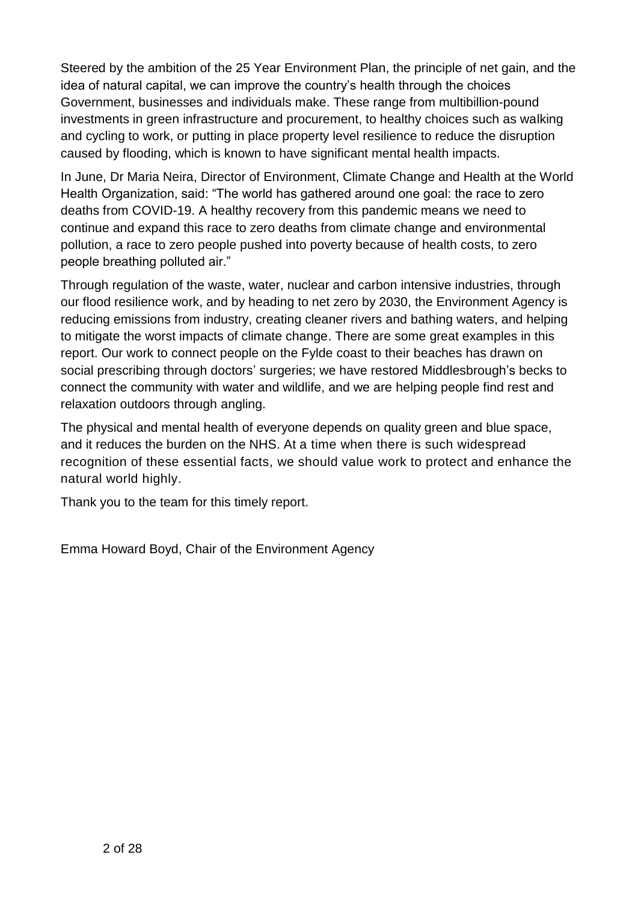Steered by the ambition of the 25 Year Environment Plan, the principle of net gain, and the idea of natural capital, we can improve the country's health through the choices Government, businesses and individuals make. These range from multibillion-pound investments in green infrastructure and procurement, to healthy choices such as walking and cycling to work, or putting in place property level resilience to reduce the disruption caused by flooding, which is known to have significant mental health impacts.

In June, Dr Maria Neira, Director of Environment, Climate Change and Health at the World Health Organization, said: "The world has gathered around one goal: the race to zero deaths from COVID-19. A healthy recovery from this pandemic means we need to continue and expand this race to zero deaths from climate change and environmental pollution, a race to zero people pushed into poverty because of health costs, to zero people breathing polluted air."

Through regulation of the waste, water, nuclear and carbon intensive industries, through our flood resilience work, and by heading to net zero by 2030, the Environment Agency is reducing emissions from industry, creating cleaner rivers and bathing waters, and helping to mitigate the worst impacts of climate change. There are some great examples in this report. Our work to connect people on the Fylde coast to their beaches has drawn on social prescribing through doctors' surgeries; we have restored Middlesbrough's becks to connect the community with water and wildlife, and we are helping people find rest and relaxation outdoors through angling.

The physical and mental health of everyone depends on quality green and blue space, and it reduces the burden on the NHS. At a time when there is such widespread recognition of these essential facts, we should value work to protect and enhance the natural world highly.

Thank you to the team for this timely report.

Emma Howard Boyd, Chair of the Environment Agency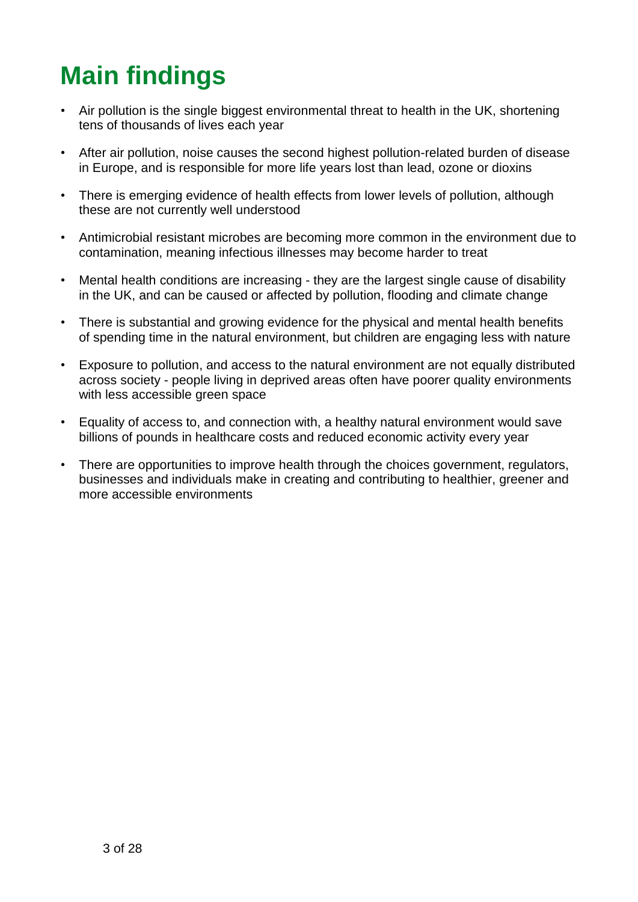# <span id="page-2-0"></span>**Main findings**

- Air pollution is the single biggest environmental threat to health in the UK, shortening tens of thousands of lives each year
- After air pollution, noise causes the second highest pollution-related burden of disease in Europe, and is responsible for more life years lost than lead, ozone or dioxins
- There is emerging evidence of health effects from lower levels of pollution, although these are not currently well understood
- Antimicrobial resistant microbes are becoming more common in the environment due to contamination, meaning infectious illnesses may become harder to treat
- Mental health conditions are increasing they are the largest single cause of disability in the UK, and can be caused or affected by pollution, flooding and climate change
- There is substantial and growing evidence for the physical and mental health benefits of spending time in the natural environment, but children are engaging less with nature
- Exposure to pollution, and access to the natural environment are not equally distributed across society - people living in deprived areas often have poorer quality environments with less accessible green space
- Equality of access to, and connection with, a healthy natural environment would save billions of pounds in healthcare costs and reduced economic activity every year
- There are opportunities to improve health through the choices government, regulators, businesses and individuals make in creating and contributing to healthier, greener and more accessible environments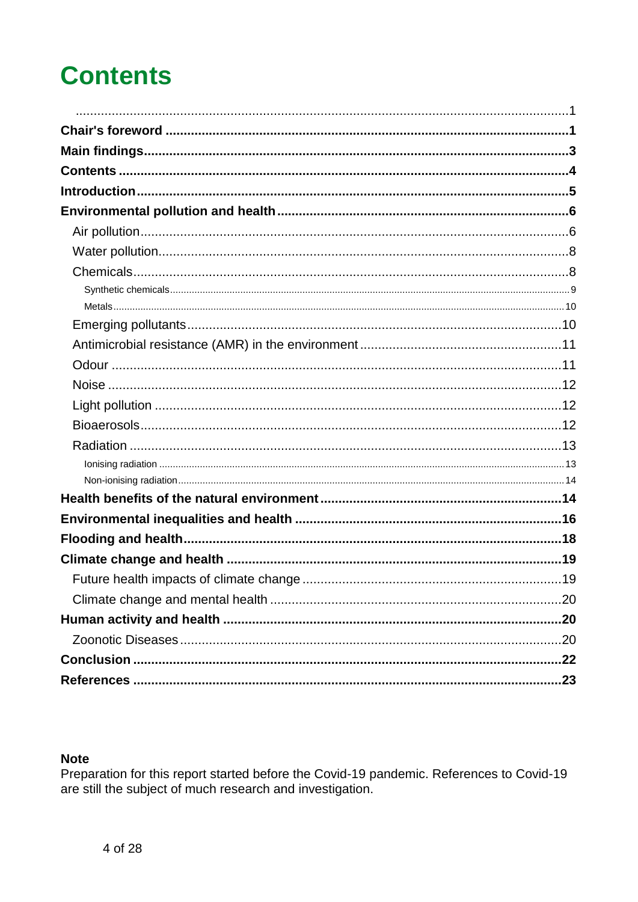# <span id="page-3-0"></span>**Contents**

#### **Note**

Preparation for this report started before the Covid-19 pandemic. References to Covid-19 are still the subject of much research and investigation.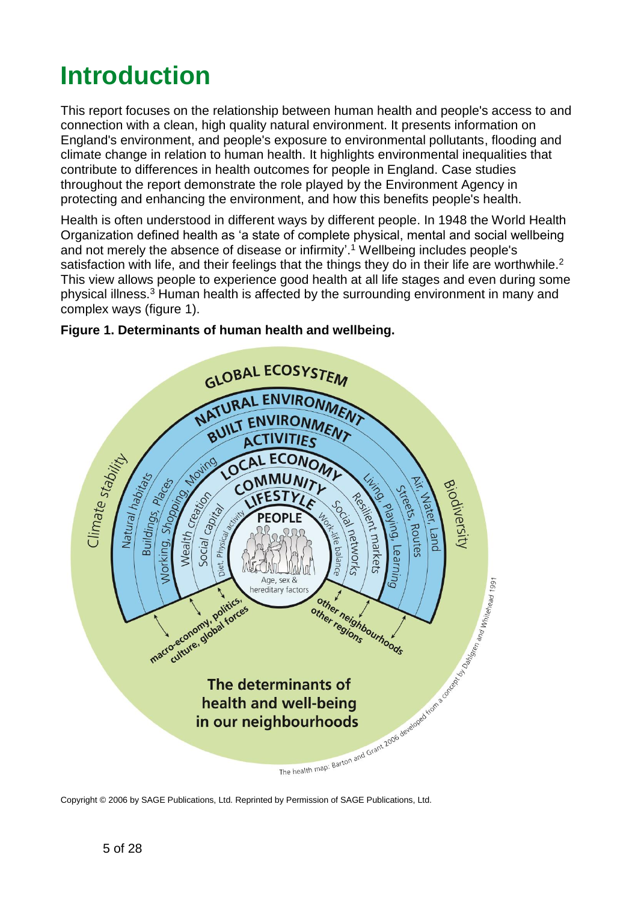# <span id="page-4-0"></span>**Introduction**

This report focuses on the relationship between human health and people's access to and connection with a clean, high quality natural environment. It presents information on England's environment, and people's exposure to environmental pollutants, flooding and climate change in relation to human health. It highlights environmental inequalities that contribute to differences in health outcomes for people in England. Case studies throughout the report demonstrate the role played by the Environment Agency in protecting and enhancing the environment, and how this benefits people's health.

Health is often understood in different ways by different people. In 1948 the World Health Organization defined health as 'a state of complete physical, mental and social wellbeing and not merely the absence of disease or infirmity'. 1 Wellbeing includes people's satisfaction with life, and their feelings that the things they do in their life are worthwhile.<sup>2</sup> This view allows people to experience good health at all life stages and even during some physical illness.<sup>3</sup> Human health is affected by the surrounding environment in many and complex ways (figure 1).



#### <span id="page-4-1"></span>**Figure 1. Determinants of human health and wellbeing.**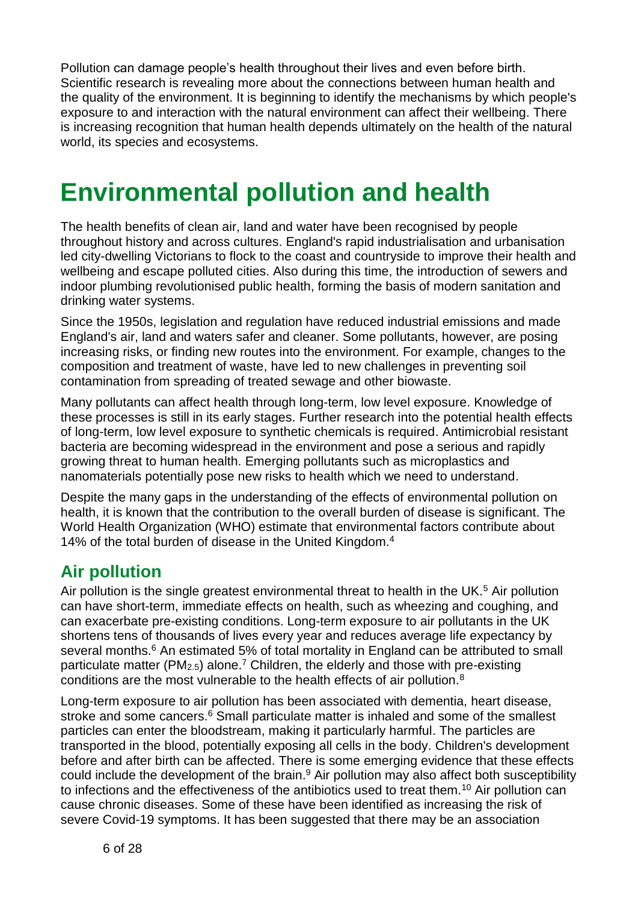Pollution can damage people's health throughout their lives and even before birth. Scientific research is revealing more about the connections between human health and the quality of the environment. It is beginning to identify the mechanisms by which people's exposure to and interaction with the natural environment can affect their wellbeing. There is increasing recognition that human health depends ultimately on the health of the natural world, its species and ecosystems.

# <span id="page-5-0"></span>**Environmental pollution and health**

The health benefits of clean air, land and water have been recognised by people throughout history and across cultures. England's rapid industrialisation and urbanisation led city-dwelling Victorians to flock to the coast and countryside to improve their health and wellbeing and escape polluted cities. Also during this time, the introduction of sewers and indoor plumbing revolutionised public health, forming the basis of modern sanitation and drinking water systems.

Since the 1950s, legislation and regulation have reduced industrial emissions and made England's air, land and waters safer and cleaner. Some pollutants, however, are posing increasing risks, or finding new routes into the environment. For example, changes to the composition and treatment of waste, have led to new challenges in preventing soil contamination from spreading of treated sewage and other biowaste.

Many pollutants can affect health through long-term, low level exposure. Knowledge of these processes is still in its early stages. Further research into the potential health effects of long-term, low level exposure to synthetic chemicals is required. Antimicrobial resistant bacteria are becoming widespread in the environment and pose a serious and rapidly growing threat to human health. Emerging pollutants such as microplastics and nanomaterials potentially pose new risks to health which we need to understand.

Despite the many gaps in the understanding of the effects of environmental pollution on health, it is known that the contribution to the overall burden of disease is significant. The World Health Organization (WHO) estimate that environmental factors contribute about 14% of the total burden of disease in the United Kingdom.<sup>4</sup>

## <span id="page-5-1"></span>**Air pollution**

Air pollution is the single greatest environmental threat to health in the UK.<sup>5</sup> Air pollution can have short-term, immediate effects on health, such as wheezing and coughing, and can exacerbate pre-existing conditions. Long-term exposure to air pollutants in the UK shortens tens of thousands of lives every year and reduces average life expectancy by several months.<sup>6</sup> An estimated 5% of total mortality in England can be attributed to small particulate matter (PM<sub>2.5</sub>) alone.<sup>7</sup> Children, the elderly and those with pre-existing conditions are the most vulnerable to the health effects of air pollution.<sup>8</sup>

<span id="page-5-4"></span><span id="page-5-3"></span><span id="page-5-2"></span>Long-term exposure to air pollution has been associated with dementia, heart disease, stroke and some cancers.<sup>[6](#page-5-2)</sup> Small particulate matter is inhaled and some of the smallest particles can enter the bloodstream, making it particularly harmful. The particles are transported in the blood, potentially exposing all cells in the body. Children's development before and after birth can be affected. There is some emerging evidence that these effects could include the development of the brain. $9$  Air pollution may also affect both susceptibility to infections and the effectiveness of the antibiotics used to treat them.<sup>10</sup> Air pollution can cause chronic diseases. Some of these have been identified as increasing the risk of severe Covid-19 symptoms. It has been suggested that there may be an association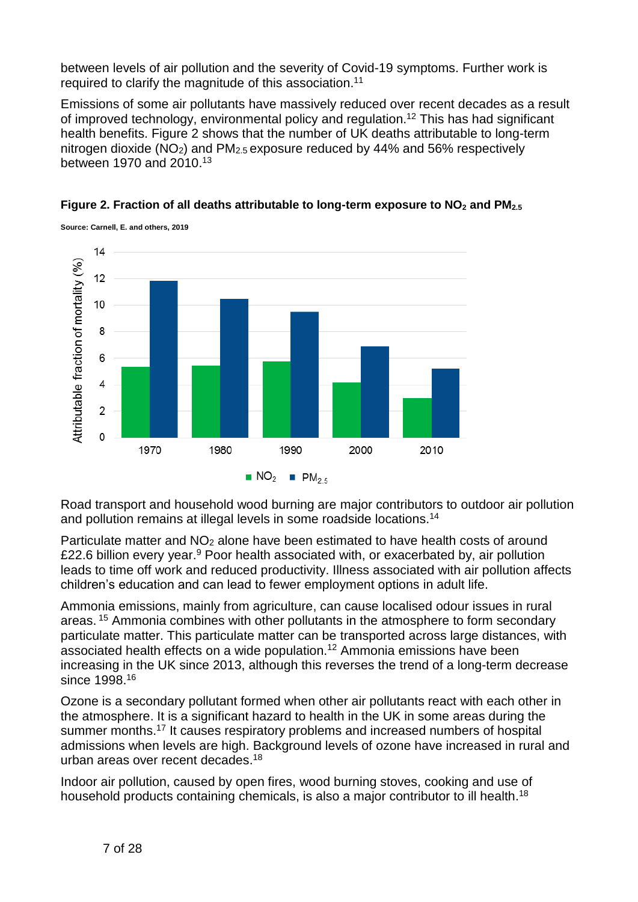between levels of air pollution and the severity of Covid-19 symptoms. Further work is required to clarify the magnitude of this association.<sup>11</sup>

<span id="page-6-0"></span>Emissions of some air pollutants have massively reduced over recent decades as a result of improved technology, environmental policy and regulation.<sup>12</sup> This has had significant health benefits. Figure 2 shows that the number of UK deaths attributable to long-term nitrogen dioxide (NO2) and PM2.5 exposure reduced by 44% and 56% respectively between 1970 and 2010.<sup>13</sup>





<span id="page-6-2"></span>Road transport and household wood burning are major contributors to outdoor air pollution and pollution remains at illegal levels in some roadside locations.<sup>14</sup>

Particulate matter and NO2 alone have been estimated to have health costs of around £22.6 billion every year.<sup>[9](#page-5-3)</sup> Poor health associated with, or exacerbated by, air pollution leads to time off work and reduced productivity. Illness associated with air pollution affects children's education and can lead to fewer employment options in adult life.

Ammonia emissions, mainly from agriculture, can cause localised odour issues in rural areas. <sup>15</sup> Ammonia combines with other pollutants in the atmosphere to form secondary particulate matter. This particulate matter can be transported across large distances, with associated health effects on a wide population.[12](#page-6-0) Ammonia emissions have been increasing in the UK since 2013, although this reverses the trend of a long-term decrease since 1998.<sup>16</sup>

Ozone is a secondary pollutant formed when other air pollutants react with each other in the atmosphere. It is a significant hazard to health in the UK in some areas during the summer months.<sup>17</sup> It causes respiratory problems and increased numbers of hospital admissions when levels are high. Background levels of ozone have increased in rural and urban areas over recent decades.<sup>18</sup>

<span id="page-6-1"></span>Indoor air pollution, caused by open fires, wood burning stoves, cooking and use of household products containing chemicals, is also a major contributor to ill health.<sup>[18](#page-6-1)</sup>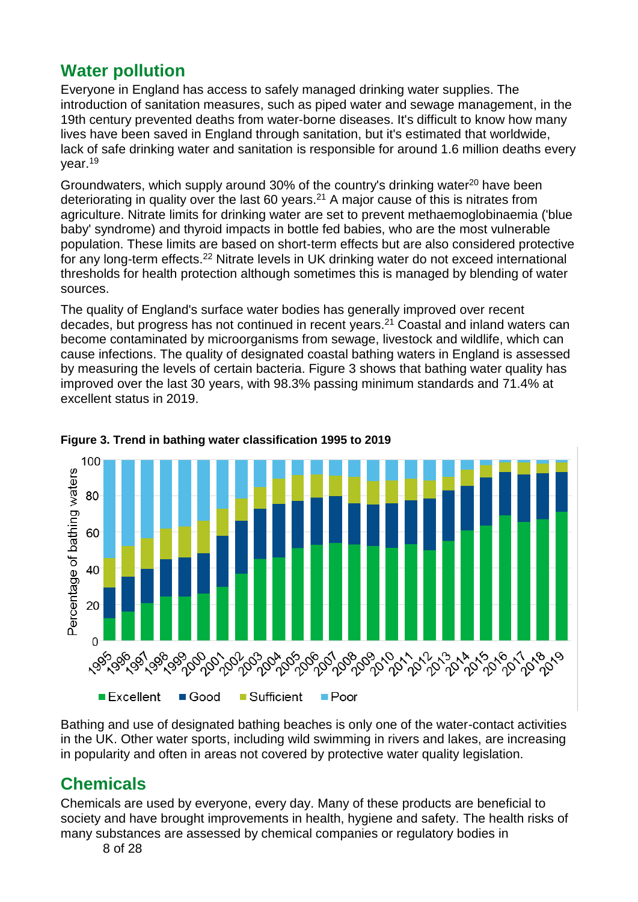## <span id="page-7-0"></span>**Water pollution**

Everyone in England has access to safely managed drinking water supplies. The introduction of sanitation measures, such as piped water and sewage management, in the 19th century prevented deaths from water-borne diseases. It's difficult to know how many lives have been saved in England through sanitation, but it's estimated that worldwide, lack of safe drinking water and sanitation is responsible for around 1.6 million deaths every year.<sup>19</sup>

<span id="page-7-2"></span>Groundwaters, which supply around 30% of the country's drinking water $20$  have been deteriorating in quality over the last 60 years.<sup>21</sup> A major cause of this is nitrates from agriculture. Nitrate limits for drinking water are set to prevent methaemoglobinaemia ('blue baby' syndrome) and thyroid impacts in bottle fed babies, who are the most vulnerable population. These limits are based on short-term effects but are also considered protective for any long-term effects.<sup>22</sup> Nitrate levels in UK drinking water do not exceed international thresholds for health protection although sometimes this is managed by blending of water sources.

The quality of England's surface water bodies has generally improved over recent decades, but progress has not continued in recent years.[21](#page-7-2) Coastal and inland waters can become contaminated by microorganisms from sewage, livestock and wildlife, which can cause infections. The quality of designated coastal bathing waters in England is assessed by measuring the levels of certain bacteria. Figure 3 shows that bathing water quality has improved over the last 30 years, with 98.3% passing minimum standards and 71.4% at excellent status in 2019.



#### **Figure 3. Trend in bathing water classification 1995 to 2019**

Bathing and use of designated bathing beaches is only one of the water-contact activities in the UK. Other water sports, including wild swimming in rivers and lakes, are increasing in popularity and often in areas not covered by protective water quality legislation.

## <span id="page-7-1"></span>**Chemicals**

Chemicals are used by everyone, every day. Many of these products are beneficial to society and have brought improvements in health, hygiene and safety. The health risks of many substances are assessed by chemical companies or regulatory bodies in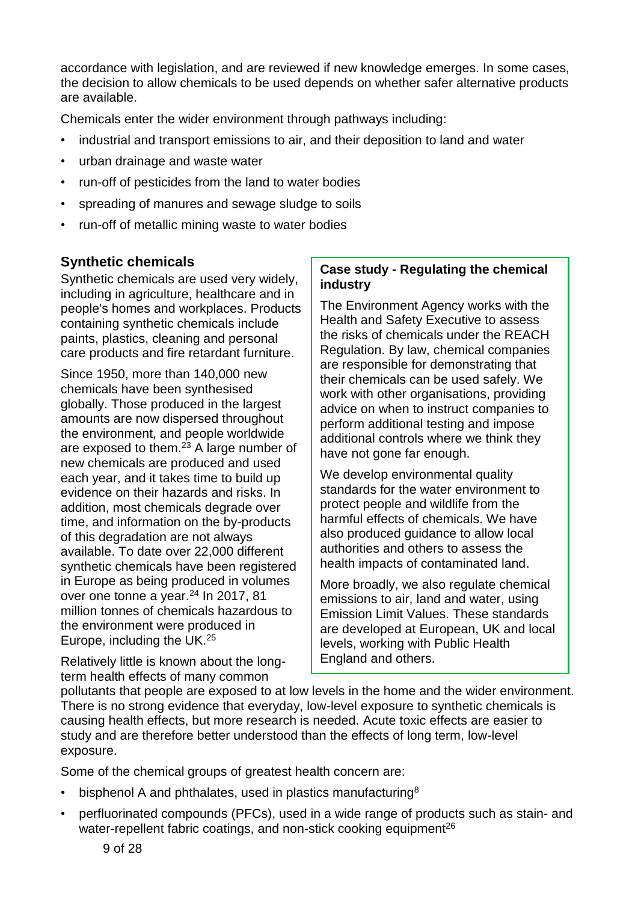accordance with legislation, and are reviewed if new knowledge emerges. In some cases, the decision to allow chemicals to be used depends on whether safer alternative products are available.

Chemicals enter the wider environment through pathways including:

- industrial and transport emissions to air, and their deposition to land and water
- urban drainage and waste water
- run-off of pesticides from the land to water bodies
- spreading of manures and sewage sludge to soils
- run-off of metallic mining waste to water bodies

### <span id="page-8-0"></span>**Synthetic chemicals**

Synthetic chemicals are used very widely, including in agriculture, healthcare and in people's homes and workplaces. Products containing synthetic chemicals include paints, plastics, cleaning and personal care products and fire retardant furniture.

Since 1950, more than 140,000 new chemicals have been synthesised globally. Those produced in the largest amounts are now dispersed throughout the environment, and people worldwide are exposed to them.<sup>23</sup> A large number of new chemicals are produced and used each year, and it takes time to build up evidence on their hazards and risks. In addition, most chemicals degrade over time, and information on the by-products of this degradation are not always available. To date over 22,000 different synthetic chemicals have been registered in Europe as being produced in volumes over one tonne a year.<sup>24</sup> In 2017, 81 million tonnes of chemicals hazardous to the environment were produced in Europe, including the UK.<sup>25</sup>

Relatively little is known about the longterm health effects of many common

### **Case study - Regulating the chemical industry**

The Environment Agency works with the Health and Safety Executive to assess the risks of chemicals under the REACH Regulation. By law, chemical companies are responsible for demonstrating that their chemicals can be used safely. We work with other organisations, providing advice on when to instruct companies to perform additional testing and impose additional controls where we think they have not gone far enough.

We develop environmental quality standards for the water environment to protect people and wildlife from the harmful effects of chemicals. We have also produced guidance to allow local authorities and others to assess the health impacts of contaminated land.

More broadly, we also regulate chemical emissions to air, land and water, using Emission Limit Values. These standards are developed at European, UK and local levels, working with Public Health England and others.

pollutants that people are exposed to at low levels in the home and the wider environment. There is no strong evidence that everyday, low-level exposure to synthetic chemicals is causing health effects, but more research is needed. Acute toxic effects are easier to study and are therefore better understood than the effects of long term, low-level exposure.

Some of the chemical groups of greatest health concern are:

- bisphenol A and phthalates, used in plastics manufacturing<sup>[8](#page-5-4)</sup>
- perfluorinated compounds (PFCs), used in a wide range of products such as stain- and water-repellent fabric coatings, and non-stick cooking equipment<sup>26</sup>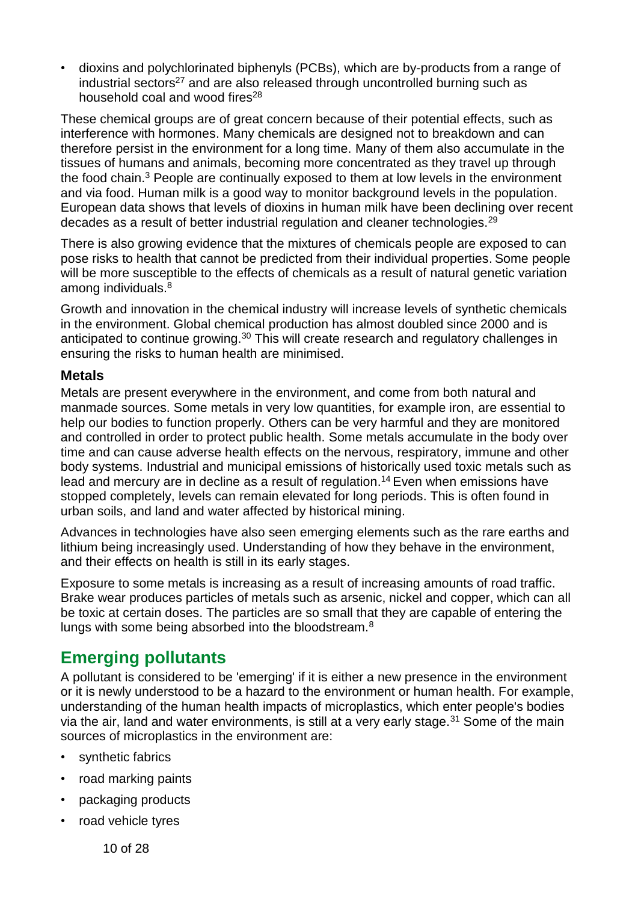• dioxins and polychlorinated biphenyls (PCBs), which are by-products from a range of industrial sectors<sup>27</sup> and are also released through uncontrolled burning such as household coal and wood fires<sup>28</sup>

These chemical groups are of great concern because of their potential effects, such as interference with hormones. Many chemicals are designed not to breakdown and can therefore persist in the environment for a long time. Many of them also accumulate in the tissues of humans and animals, becoming more concentrated as they travel up through the food chain.<sup>[3](#page-4-1)</sup> People are continually exposed to them at low levels in the environment and via food. Human milk is a good way to monitor background levels in the population. European data shows that levels of dioxins in human milk have been declining over recent decades as a result of better industrial regulation and cleaner technologies.<sup>29</sup>

There is also growing evidence that the mixtures of chemicals people are exposed to can pose risks to health that cannot be predicted from their individual properties. Some people will be more susceptible to the effects of chemicals as a result of natural genetic variation among individuals.[8](#page-5-4) 

Growth and innovation in the chemical industry will increase levels of synthetic chemicals in the environment. Global chemical production has almost doubled since 2000 and is anticipated to continue growing.<sup>30</sup> This will create research and regulatory challenges in ensuring the risks to human health are minimised.

### <span id="page-9-0"></span>**Metals**

Metals are present everywhere in the environment, and come from both natural and manmade sources. Some metals in very low quantities, for example iron, are essential to help our bodies to function properly. Others can be very harmful and they are monitored and controlled in order to protect public health. Some metals accumulate in the body over time and can cause adverse health effects on the nervous, respiratory, immune and other body systems. Industrial and municipal emissions of historically used toxic metals such as lead and mercury are in decline as a result of regulation.<sup>[14](#page-6-2)</sup> Even when emissions have stopped completely, levels can remain elevated for long periods. This is often found in urban soils, and land and water affected by historical mining.

Advances in technologies have also seen emerging elements such as the rare earths and lithium being increasingly used. Understanding of how they behave in the environment, and their effects on health is still in its early stages.

Exposure to some metals is increasing as a result of increasing amounts of road traffic. Brake wear produces particles of metals such as arsenic, nickel and copper, which can all be toxic at certain doses. The particles are so small that they are capable of entering the lungs with some being absorbed into the bloodstream.<sup>8</sup>

### <span id="page-9-1"></span>**Emerging pollutants**

A pollutant is considered to be 'emerging' if it is either a new presence in the environment or it is newly understood to be a hazard to the environment or human health. For example, understanding of the human health impacts of microplastics, which enter people's bodies via the air, land and water environments, is still at a very early stage.<sup>31</sup> Some of the main sources of microplastics in the environment are:

- synthetic fabrics
- road marking paints
- packaging products
- road vehicle tyres

10 of 28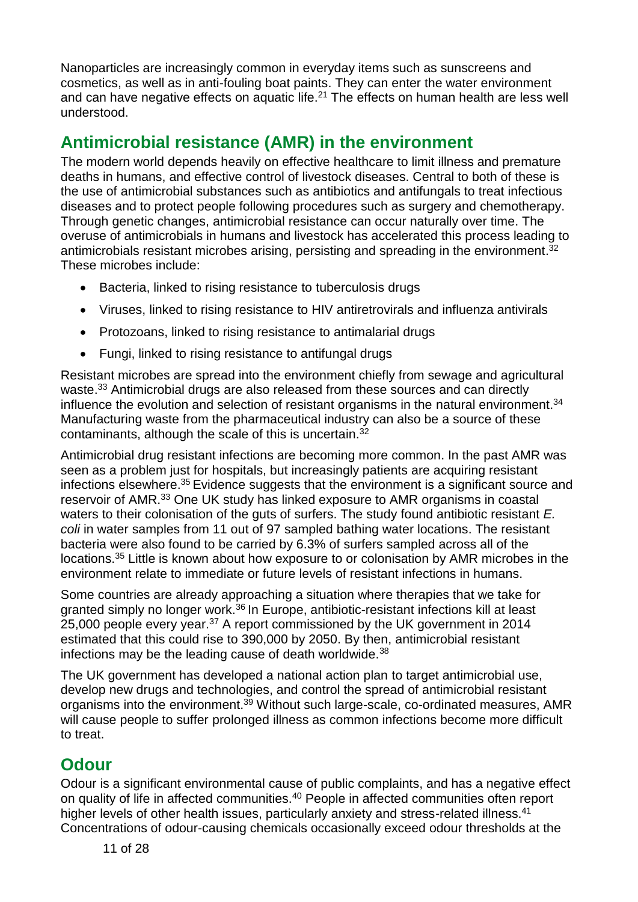Nanoparticles are increasingly common in everyday items such as sunscreens and cosmetics, as well as in anti-fouling boat paints. They can enter the water environment and can have negative effects on aquatic life.<sup>[21](#page-7-2)</sup> The effects on human health are less well understood.

## <span id="page-10-0"></span>**Antimicrobial resistance (AMR) in the environment**

The modern world depends heavily on effective healthcare to limit illness and premature deaths in humans, and effective control of livestock diseases. Central to both of these is the use of antimicrobial substances such as antibiotics and antifungals to treat infectious diseases and to protect people following procedures such as surgery and chemotherapy. Through genetic changes, antimicrobial resistance can occur naturally over time. The overuse of antimicrobials in humans and livestock has accelerated this process leading to antimicrobials resistant microbes arising, persisting and spreading in the environment.<sup>32</sup> These microbes include:

- <span id="page-10-2"></span>• Bacteria, linked to rising resistance to tuberculosis drugs
- Viruses, linked to rising resistance to HIV antiretrovirals and influenza antivirals
- Protozoans, linked to rising resistance to antimalarial drugs
- Fungi, linked to rising resistance to antifungal drugs

<span id="page-10-3"></span>Resistant microbes are spread into the environment chiefly from sewage and agricultural waste.<sup>33</sup> Antimicrobial drugs are also released from these sources and can directly influence the evolution and selection of resistant organisms in the natural environment.<sup>34</sup> Manufacturing waste from the pharmaceutical industry can also be a source of these contaminants, although the scale of this is uncertain.[32](#page-10-2)

<span id="page-10-4"></span>Antimicrobial drug resistant infections are becoming more common. In the past AMR was seen as a problem just for hospitals, but increasingly patients are acquiring resistant infections elsewhere.<sup>35</sup> Evidence suggests that the environment is a significant source and reservoir of AMR.[33](#page-10-3) One UK study has linked exposure to AMR organisms in coastal waters to their colonisation of the guts of surfers. The study found antibiotic resistant *E. coli* in water samples from 11 out of 97 sampled bathing water locations. The resistant bacteria were also found to be carried by 6.3% of surfers sampled across all of the locations.[35](#page-10-4) Little is known about how exposure to or colonisation by AMR microbes in the environment relate to immediate or future levels of resistant infections in humans.

Some countries are already approaching a situation where therapies that we take for granted simply no longer work.<sup>36</sup> In Europe, antibiotic-resistant infections kill at least 25,000 people every year.<sup>37</sup> A report commissioned by the UK government in 2014 estimated that this could rise to 390,000 by 2050. By then, antimicrobial resistant infections may be the leading cause of death worldwide.<sup>38</sup>

The UK government has developed a national action plan to target antimicrobial use, develop new drugs and technologies, and control the spread of antimicrobial resistant organisms into the environment.<sup>39</sup> Without such large-scale, co-ordinated measures, AMR will cause people to suffer prolonged illness as common infections become more difficult to treat.

## <span id="page-10-1"></span>**Odour**

Odour is a significant environmental cause of public complaints, and has a negative effect on quality of life in affected communities.<sup>40</sup> People in affected communities often report higher levels of other health issues, particularly anxiety and stress-related illness.<sup>41</sup> Concentrations of odour-causing chemicals occasionally exceed odour thresholds at the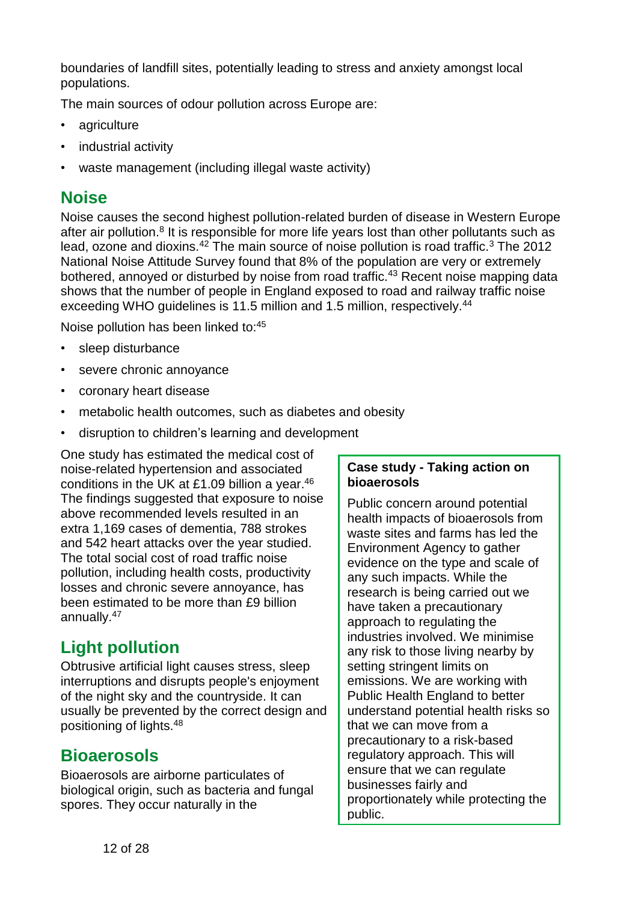boundaries of landfill sites, potentially leading to stress and anxiety amongst local populations.

The main sources of odour pollution across Europe are:

- agriculture
- industrial activity
- waste management (including illegal waste activity)

## <span id="page-11-0"></span>**Noise**

Noise causes the second highest pollution-related burden of disease in Western Europe after air pollution.<sup>[8](#page-5-4)</sup> It is responsible for more life years lost than other pollutants such as lead, ozone and dioxins. $42$  The main source of noise pollution is road traffic.<sup>[3](#page-4-1)</sup> The 2012 National Noise Attitude Survey found that 8% of the population are very or extremely bothered, annoyed or disturbed by noise from road traffic.<sup>43</sup> Recent noise mapping data shows that the number of people in England exposed to road and railway traffic noise exceeding WHO guidelines is 11.5 million and 1.5 million, respectively.<sup>44</sup>

Noise pollution has been linked to:<sup>45</sup>

- sleep disturbance
- severe chronic annoyance
- coronary heart disease
- metabolic health outcomes, such as diabetes and obesity
- disruption to children's learning and development

One study has estimated the medical cost of noise-related hypertension and associated conditions in the UK at £1.09 billion a year.<sup>46</sup> The findings suggested that exposure to noise above recommended levels resulted in an extra 1,169 cases of dementia, 788 strokes and 542 heart attacks over the year studied. The total social cost of road traffic noise pollution, including health costs, productivity losses and chronic severe annoyance, has been estimated to be more than £9 billion annually.<sup>47</sup>

## <span id="page-11-1"></span>**Light pollution**

Obtrusive artificial light causes stress, sleep interruptions and disrupts people's enjoyment of the night sky and the countryside. It can usually be prevented by the correct design and positioning of lights.<sup>48</sup>

## <span id="page-11-2"></span>**Bioaerosols**

Bioaerosols are airborne particulates of biological origin, such as bacteria and fungal spores. They occur naturally in the

### **Case study - Taking action on bioaerosols**

Public concern around potential health impacts of bioaerosols from waste sites and farms has led the Environment Agency to gather evidence on the type and scale of any such impacts. While the research is being carried out we have taken a precautionary approach to regulating the industries involved. We minimise any risk to those living nearby by setting stringent limits on emissions. We are working with Public Health England to better understand potential health risks so that we can move from a precautionary to a risk-based regulatory approach. This will ensure that we can regulate businesses fairly and proportionately while protecting the public.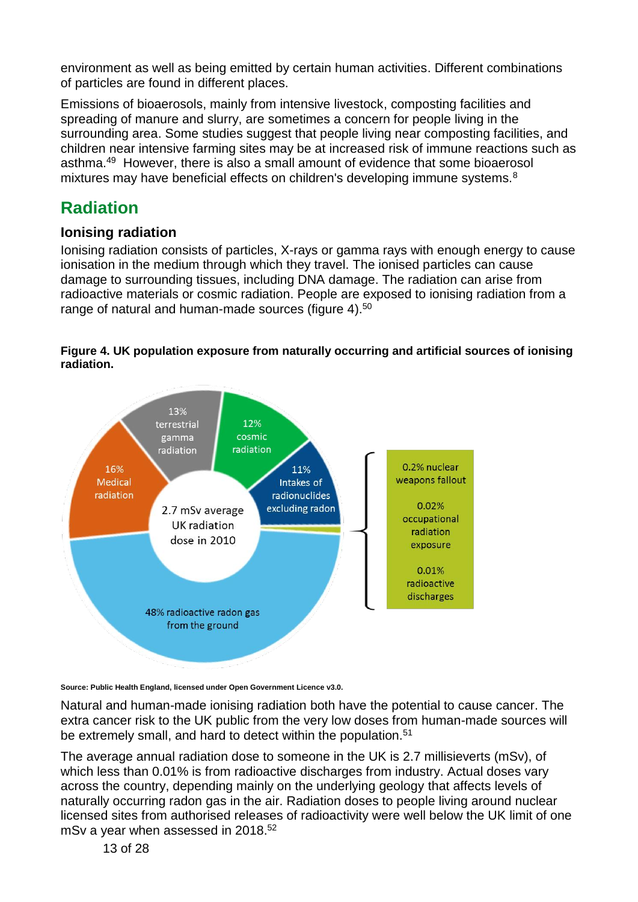environment as well as being emitted by certain human activities. Different combinations of particles are found in different places.

Emissions of bioaerosols, mainly from intensive livestock, composting facilities and spreading of manure and slurry, are sometimes a concern for people living in the surrounding area. Some studies suggest that people living near composting facilities, and children near intensive farming sites may be at increased risk of immune reactions such as asthma.<sup>49</sup> However, there is also a small amount of evidence that some bioaerosol mixtures may have beneficial effects on children's developing immune systems.<sup>[8](#page-5-4)</sup>

## <span id="page-12-0"></span>**Radiation**

### <span id="page-12-1"></span>**Ionising radiation**

Ionising radiation consists of particles, X-rays or gamma rays with enough energy to cause ionisation in the medium through which they travel. The ionised particles can cause damage to surrounding tissues, including DNA damage. The radiation can arise from radioactive materials or cosmic radiation. People are exposed to ionising radiation from a range of natural and human-made sources (figure 4).<sup>50</sup>





**Source: Public Health England, licensed under Open Government Licence v3.0.** 

Natural and human-made ionising radiation both have the potential to cause cancer. The extra cancer risk to the UK public from the very low doses from human-made sources will be extremely small, and hard to detect within the population.<sup>51</sup>

The average annual radiation dose to someone in the UK is 2.7 millisieverts (mSv), of which less than 0.01% is from radioactive discharges from industry. Actual doses vary across the country, depending mainly on the underlying geology that affects levels of naturally occurring radon gas in the air. Radiation doses to people living around nuclear licensed sites from authorised releases of radioactivity were well below the UK limit of one mSv a year when assessed in 2018. $52$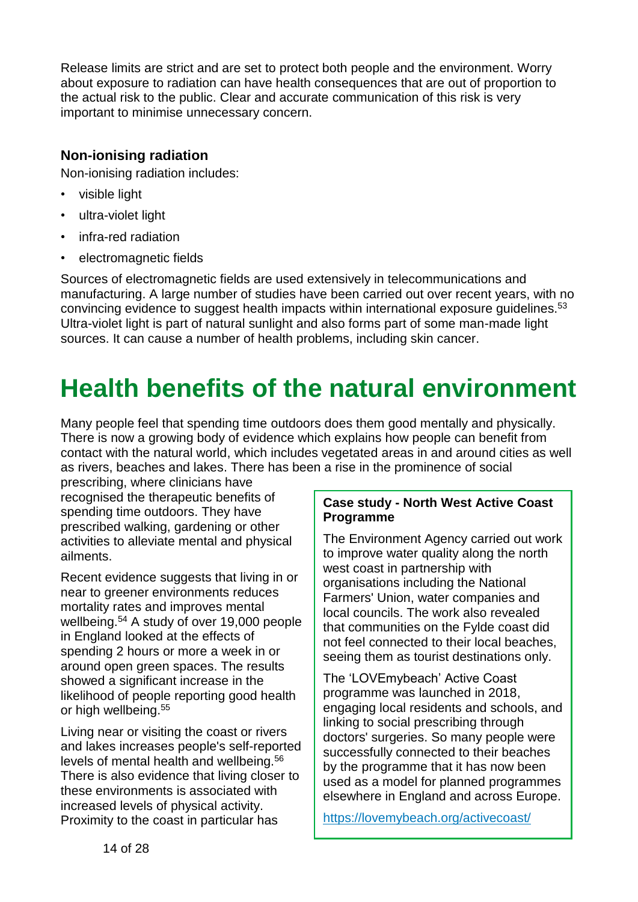Release limits are strict and are set to protect both people and the environment. Worry about exposure to radiation can have health consequences that are out of proportion to the actual risk to the public. Clear and accurate communication of this risk is very important to minimise unnecessary concern.

### <span id="page-13-0"></span>**Non-ionising radiation**

Non-ionising radiation includes:

- visible light
- ultra-violet light
- infra-red radiation
- electromagnetic fields

Sources of electromagnetic fields are used extensively in telecommunications and manufacturing. A large number of studies have been carried out over recent years, with no convincing evidence to suggest health impacts within international exposure guidelines.<sup>53</sup> Ultra-violet light is part of natural sunlight and also forms part of some man-made light sources. It can cause a number of health problems, including skin cancer.

# <span id="page-13-1"></span>**Health benefits of the natural environment**

Many people feel that spending time outdoors does them good mentally and physically. There is now a growing body of evidence which explains how people can benefit from contact with the natural world, which includes vegetated areas in and around cities as well as rivers, beaches and lakes. There has been a rise in the prominence of social

prescribing, where clinicians have recognised the therapeutic benefits of spending time outdoors. They have prescribed walking, gardening or other activities to alleviate mental and physical ailments.

Recent evidence suggests that living in or near to greener environments reduces mortality rates and improves mental wellbeing.<sup>54</sup> A study of over 19,000 people in England looked at the effects of spending 2 hours or more a week in or around open green spaces. The results showed a significant increase in the likelihood of people reporting good health or high wellbeing.<sup>55</sup>

Living near or visiting the coast or rivers and lakes increases people's self-reported levels of mental health and wellbeing.<sup>56</sup> There is also evidence that living closer to these environments is associated with increased levels of physical activity. Proximity to the coast in particular has

### **Case study - North West Active Coast Programme**

The Environment Agency carried out work to improve water quality along the north west coast in partnership with organisations including the National Farmers' Union, water companies and local councils. The work also revealed that communities on the Fylde coast did not feel connected to their local beaches, seeing them as tourist destinations only.

The 'LOVEmybeach' Active Coast programme was launched in 2018, engaging local residents and schools, and linking to social prescribing through doctors' surgeries. So many people were successfully connected to their beaches by the programme that it has now been used as a model for planned programmes elsewhere in England and across Europe.

<span id="page-13-2"></span><https://lovemybeach.org/activecoast/>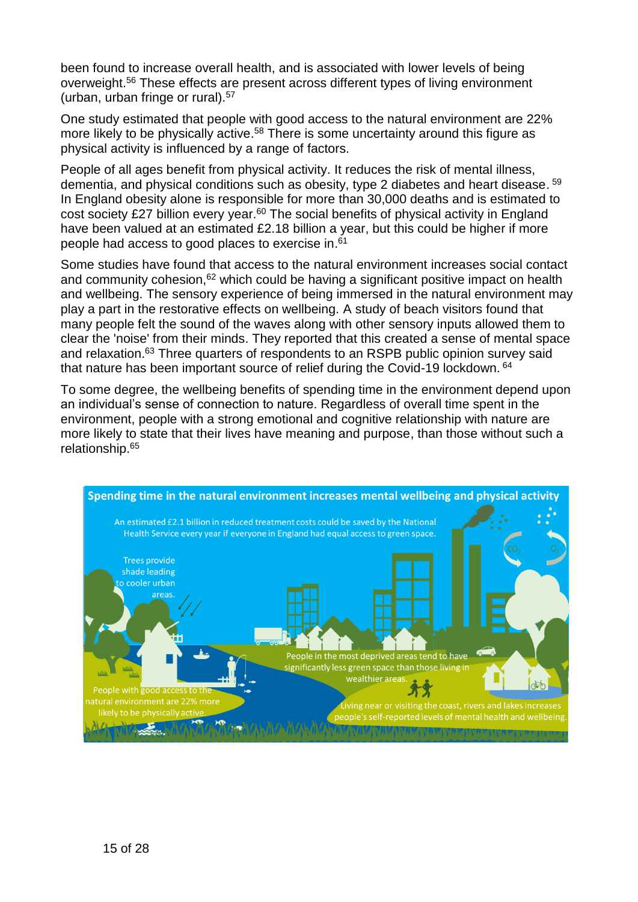been found to increase overall health, and is associated with lower levels of being overweight.[56](#page-13-2) These effects are present across different types of living environment (urban, urban fringe or rural).<sup>57</sup>

One study estimated that people with good access to the natural environment are 22% more likely to be physically active.<sup>58</sup> There is some uncertainty around this figure as physical activity is influenced by a range of factors.

People of all ages benefit from physical activity. It reduces the risk of mental illness, dementia, and physical conditions such as obesity, type 2 diabetes and heart disease. <sup>59</sup> In England obesity alone is responsible for more than 30,000 deaths and is estimated to cost society £27 billion every year. $60$  The social benefits of physical activity in England have been valued at an estimated £2.18 billion a vear, but this could be higher if more people had access to good places to exercise in.<sup>61</sup>

Some studies have found that access to the natural environment increases social contact and community cohesion,<sup>62</sup> which could be having a significant positive impact on health and wellbeing. The sensory experience of being immersed in the natural environment may play a part in the restorative effects on wellbeing. A study of beach visitors found that many people felt the sound of the waves along with other sensory inputs allowed them to clear the 'noise' from their minds. They reported that this created a sense of mental space and relaxation.<sup>63</sup> Three quarters of respondents to an RSPB public opinion survey said that nature has been important source of relief during the Covid-19 lockdown. <sup>64</sup>

To some degree, the wellbeing benefits of spending time in the environment depend upon an individual's sense of connection to nature. Regardless of overall time spent in the environment, people with a strong emotional and cognitive relationship with nature are more likely to state that their lives have meaning and purpose, than those without such a relationship.<sup>65</sup>

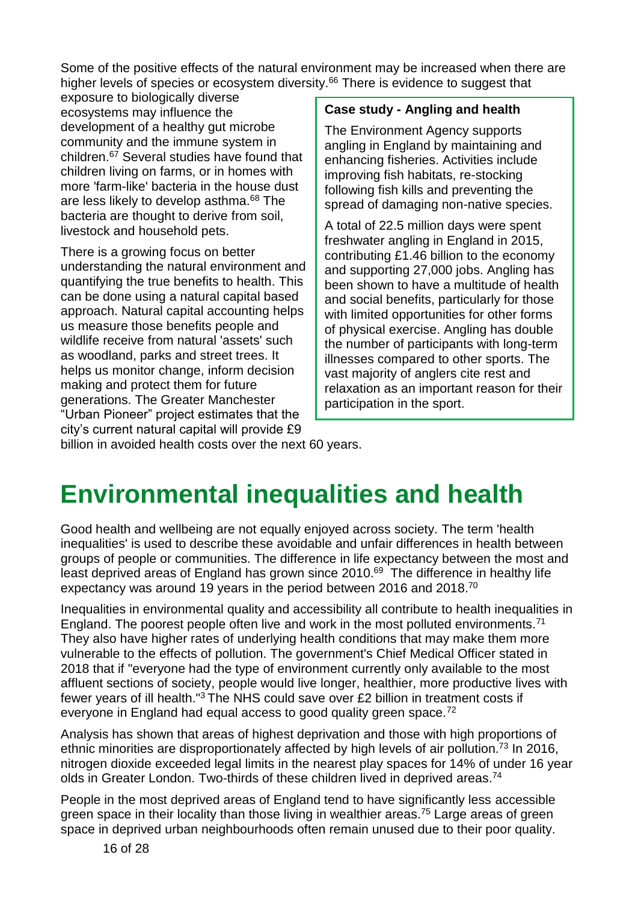Some of the positive effects of the natural environment may be increased when there are higher levels of species or ecosystem diversity.<sup>66</sup> There is evidence to suggest that

exposure to biologically diverse ecosystems may influence the development of a healthy gut microbe community and the immune system in children.<sup>67</sup> Several studies have found that children living on farms, or in homes with more 'farm-like' bacteria in the house dust are less likely to develop asthma.<sup>68</sup> The bacteria are thought to derive from soil, livestock and household pets.

There is a growing focus on better understanding the natural environment and quantifying the true benefits to health. This can be done using a natural capital based approach. Natural capital accounting helps us measure those benefits people and wildlife receive from natural 'assets' such as woodland, parks and street trees. It helps us monitor change, inform decision making and protect them for future generations. The Greater Manchester "Urban Pioneer" project estimates that the city's current natural capital will provide £9

### **Case study - Angling and health**

The Environment Agency supports angling in England by maintaining and enhancing fisheries. Activities include improving fish habitats, re-stocking following fish kills and preventing the spread of damaging non-native species.

A total of 22.5 million days were spent freshwater angling in England in 2015, contributing £1.46 billion to the economy and supporting 27,000 jobs. Angling has been shown to have a multitude of health and social benefits, particularly for those with limited opportunities for other forms of physical exercise. Angling has double the number of participants with long-term illnesses compared to other sports. The vast majority of anglers cite rest and relaxation as an important reason for their participation in the sport.

billion in avoided health costs over the next 60 years.

## <span id="page-15-0"></span>**Environmental inequalities and health**

Good health and wellbeing are not equally enjoyed across society. The term 'health inequalities' is used to describe these avoidable and unfair differences in health between groups of people or communities. The difference in life expectancy between the most and least deprived areas of England has grown since 2010.<sup>69</sup> The difference in healthy life expectancy was around 19 years in the period between 2016 and 2018.<sup>70</sup>

<span id="page-15-2"></span>Inequalities in environmental quality and accessibility all contribute to health inequalities in England. The poorest people often live and work in the most polluted environments.<sup>71</sup> They also have higher rates of underlying health conditions that may make them more vulnerable to the effects of pollution. The government's Chief Medical Officer stated in 2018 that if "everyone had the type of environment currently only available to the most affluent sections of society, people would live longer, healthier, more productive lives with fewer years of ill health."[3](#page-4-1) The NHS could save over £2 billion in treatment costs if everyone in England had equal access to good quality green space.<sup>72</sup>

Analysis has shown that areas of highest deprivation and those with high proportions of ethnic minorities are disproportionately affected by high levels of air pollution.<sup>73</sup> In 2016, nitrogen dioxide exceeded legal limits in the nearest play spaces for 14% of under 16 year olds in Greater London. Two-thirds of these children lived in deprived areas.<sup>74</sup>

<span id="page-15-1"></span>People in the most deprived areas of England tend to have significantly less accessible green space in their locality than those living in wealthier areas.<sup>75</sup> Large areas of green space in deprived urban neighbourhoods often remain unused due to their poor quality.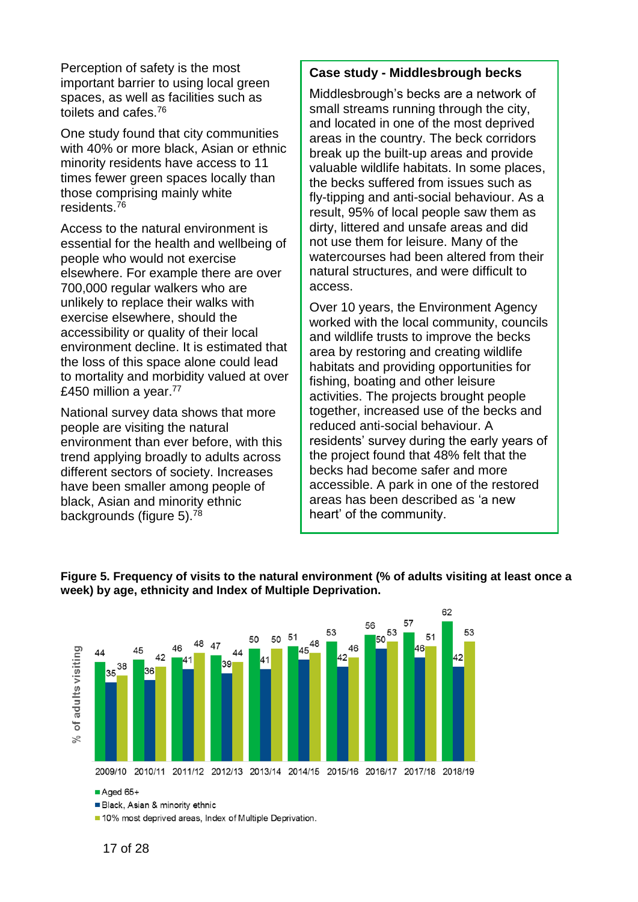Perception of safety is the most important barrier to using local green spaces, as well as facilities such as toilets and cafes.<sup>76</sup>

One study found that city communities with 40% or more black, Asian or ethnic minority residents have access to 11 times fewer green spaces locally than those comprising mainly white residents.<sup>[76](#page-15-1)</sup>

Access to the natural environment is essential for the health and wellbeing of people who would not exercise elsewhere. For example there are over 700,000 regular walkers who are unlikely to replace their walks with exercise elsewhere, should the accessibility or quality of their local environment decline. It is estimated that the loss of this space alone could lead to mortality and morbidity valued at over £450 million a year.<sup>77</sup>

National survey data shows that more people are visiting the natural environment than ever before, with this trend applying broadly to adults across different sectors of society. Increases have been smaller among people of black, Asian and minority ethnic backgrounds (figure 5).<sup>78</sup>

#### **Case study - Middlesbrough becks**

Middlesbrough's becks are a network of small streams running through the city, and located in one of the most deprived areas in the country. The beck corridors break up the built-up areas and provide valuable wildlife habitats. In some places, the becks suffered from issues such as fly-tipping and anti-social behaviour. As a result, 95% of local people saw them as dirty, littered and unsafe areas and did not use them for leisure. Many of the watercourses had been altered from their natural structures, and were difficult to access.

Over 10 years, the Environment Agency worked with the local community, councils and wildlife trusts to improve the becks area by restoring and creating wildlife habitats and providing opportunities for fishing, boating and other leisure activities. The projects brought people together, increased use of the becks and reduced anti-social behaviour. A residents' survey during the early years of the project found that 48% felt that the becks had become safer and more accessible. A park in one of the restored areas has been described as 'a new heart' of the community.



#### **Figure 5. Frequency of visits to the natural environment (% of adults visiting at least once a week) by age, ethnicity and Index of Multiple Deprivation.**

 $\blacksquare$  Aged 65+

Black, Asian & minority ethnic

10% most deprived areas, Index of Multiple Deprivation.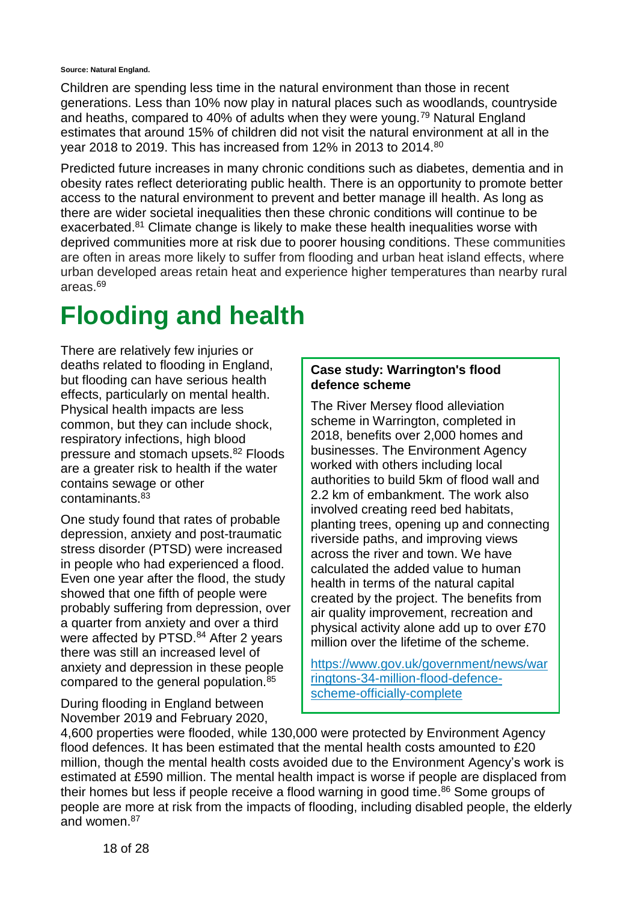**Source: Natural England.**

Children are spending less time in the natural environment than those in recent generations. Less than 10% now play in natural places such as woodlands, countryside and heaths, compared to 40% of adults when they were young.<sup>79</sup> Natural England estimates that around 15% of children did not visit the natural environment at all in the year 2018 to 2019. This has increased from 12% in 2013 to 2014.<sup>80</sup>

Predicted future increases in many chronic conditions such as diabetes, dementia and in obesity rates reflect deteriorating public health. There is an opportunity to promote better access to the natural environment to prevent and better manage ill health. As long as there are wider societal inequalities then these chronic conditions will continue to be exacerbated.<sup>81</sup> Climate change is likely to make these health inequalities worse with deprived communities more at risk due to poorer housing conditions. These communities are often in areas more likely to suffer from flooding and urban heat island effects, where urban developed areas retain heat and experience higher temperatures than nearby rural areas.[69](#page-15-2)

## <span id="page-17-0"></span>**Flooding and health**

There are relatively few injuries or deaths related to flooding in England, but flooding can have serious health effects, particularly on mental health. Physical health impacts are less common, but they can include shock, respiratory infections, high blood pressure and stomach upsets.<sup>82</sup> Floods are a greater risk to health if the water contains sewage or other contaminants.<sup>83</sup>

One study found that rates of probable depression, anxiety and post-traumatic stress disorder (PTSD) were increased in people who had experienced a flood. Even one year after the flood, the study showed that one fifth of people were probably suffering from depression, over a quarter from anxiety and over a third were affected by PTSD.<sup>84</sup> After 2 years there was still an increased level of anxiety and depression in these people compared to the general population.<sup>85</sup>

During flooding in England between November 2019 and February 2020,

#### **Case study: Warrington's flood defence scheme**

The River Mersey flood alleviation scheme in Warrington, completed in 2018, benefits over 2,000 homes and businesses. The Environment Agency worked with others including local authorities to build 5km of flood wall and 2.2 km of embankment. The work also involved creating reed bed habitats, planting trees, opening up and connecting riverside paths, and improving views across the river and town. We have calculated the added value to human health in terms of the natural capital created by the project. The benefits from air quality improvement, recreation and physical activity alone add up to over £70 million over the lifetime of the scheme.

[https://www.gov.uk/government/news/war](https://www.gov.uk/government/news/warringtons-34-million-flood-defence-scheme-officially-complete) [ringtons-34-million-flood-defence](https://www.gov.uk/government/news/warringtons-34-million-flood-defence-scheme-officially-complete)[scheme-officially-complete](https://www.gov.uk/government/news/warringtons-34-million-flood-defence-scheme-officially-complete) 

4,600 properties were flooded, while 130,000 were protected by Environment Agency flood defences. It has been estimated that the mental health costs amounted to £20 million, though the mental health costs avoided due to the Environment Agency's work is estimated at £590 million. The mental health impact is worse if people are displaced from their homes but less if people receive a flood warning in good time.<sup>86</sup> Some groups of people are more at risk from the impacts of flooding, including disabled people, the elderly and women.<sup>87</sup>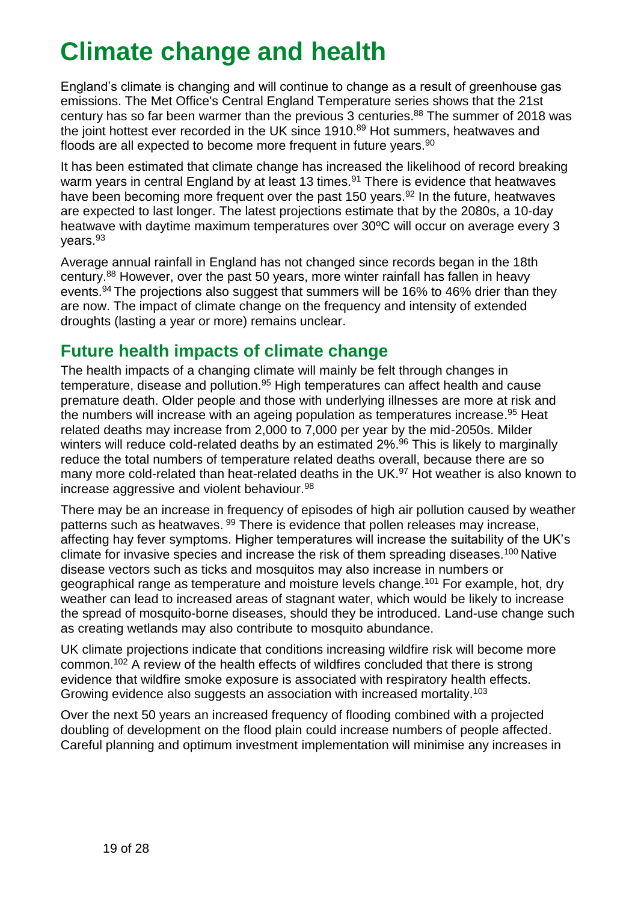# **Climate change and health**

<span id="page-18-0"></span>England's climate is changing and will continue to change as a result of greenhouse gas emissions. The Met Office's Central England Temperature series shows that the 21st century has so far been warmer than the previous  $3$  centuries.<sup>88</sup> The summer of 2018 was the joint hottest ever recorded in the UK since 1910.<sup>89</sup> Hot summers, heatwaves and floods are all expected to become more frequent in future years. $90$ 

<span id="page-18-2"></span>It has been estimated that climate change has increased the likelihood of record breaking warm years in central England by at least 13 times.<sup>91</sup> There is evidence that heatwaves have been becoming more frequent over the past 150 years.<sup>92</sup> In the future, heatwaves are expected to last longer. The latest projections estimate that by the 2080s, a 10-day heatwave with daytime maximum temperatures over 30ºC will occur on average every 3 years.<sup>93</sup>

Average annual rainfall in England has not changed since records began in the 18th century.<sup>88</sup> However, over the past 50 years, more winter rainfall has fallen in heavy events.<sup>94</sup> The projections also suggest that summers will be 16% to 46% drier than they are now. The impact of climate change on the frequency and intensity of extended droughts (lasting a year or more) remains unclear.

### **Futu[re h](#page-18-2)ealth impacts of climate change**

<span id="page-18-1"></span>The health impacts of a changing climate will mainly be felt through changes in temperature, disease and pollution.<sup>95</sup> High temperatures can affect health and cause premature death. Older people and those with underlying illnesses are more at risk and the numbers will increase with an ageing population as temperatures increase.<sup>95</sup> Heat related deaths may increase from 2,000 to 7,000 per year by the mid-2050s. Milder winters will reduce cold-related deaths by an estimated 2%.<sup>96</sup> This is likely to marginally reduce the total numbers of temperature related deaths overall, because there are so many more cold-related than heat-related deaths in the UK.<sup>97</sup> Hot weather is [also](#page-18-3) known to increase aggressive and violent behaviour.<sup>98</sup>

<span id="page-18-4"></span><span id="page-18-3"></span>There may be an increase in frequency of episodes of high air pollution caused by weather patterns such as heatwaves. <sup>99</sup> There is evidence that pollen releases may increase, affecting hay fever symptoms. Higher temperatures will increase the suitability of the UK's climate for invasive species and increase the risk of them spreading diseases.<sup>100</sup> Native disease vectors such as ticks and mosquitos may also increase in numbers or geographical range as temperature and moisture levels change.<sup>101</sup> For example, hot, dry weather can lead to increased areas of stagnant water, which would be likely to increase the spread of mosquito-borne diseases, should they be introduced. Land-use change such as creating wetlands may also contribute to mosquito abundance.

UK climate projections indicate that conditions increasing wildfire risk will become more common.<sup>102</sup> A review of the health effects of wildfires concluded that there is strong evidence that wildfire smoke exposure is associated with respiratory health effects. Growing evidence also suggests an association with increased mortality.<sup>103</sup>

Over the next 50 years an increased frequency of flooding combined with a projected doubling of development on the flood plain could increase numbers of people affected. Careful planning and optimum investment implementation will minimise any increases in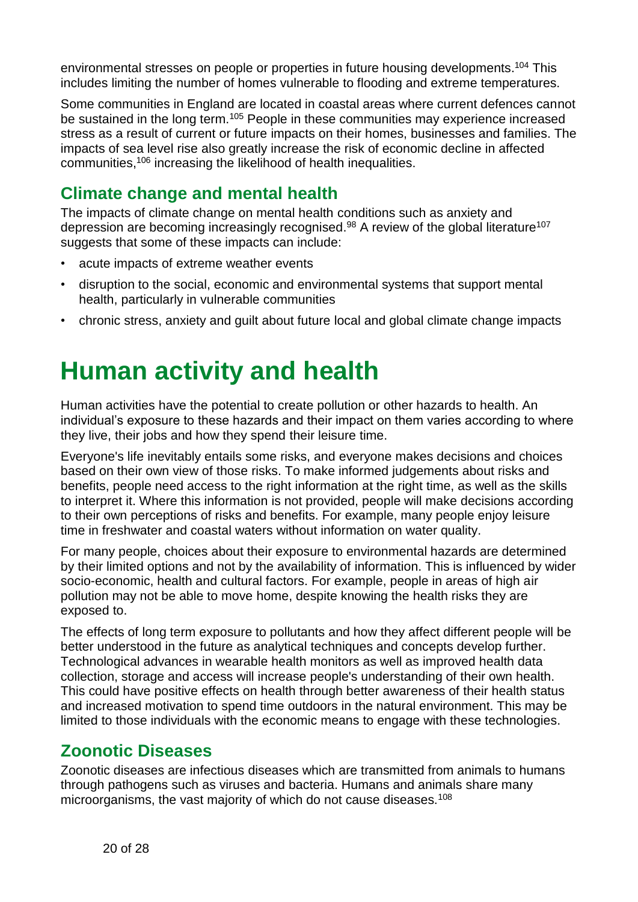environmental stresses on people or properties in future housing developments.<sup>104</sup> This includes limiting the number of homes vulnerable to flooding and extreme temperatures.

Some communities in England are located in coastal areas where current defences cannot be sustained in the long term.<sup>105</sup> People in these communities may experience increased stress as a result of current or future impacts on their homes, businesses and families. The impacts of sea level rise also greatly increase the risk of economic decline in affected communities,<sup>106</sup> increasing the likelihood of health inequalities.

## <span id="page-19-0"></span>**Climate change and mental health**

The impacts of climate change on mental health conditions such as anxiety and depression are becoming increasingly recognised. $98$  A review of the global literature<sup>107</sup> suggests that some of these impacts can include:

- acute impacts of extreme weather events
- disruption to the social, economic and environmental systems that support mental health, particularly in vulnerable communities
- chronic stress, anxiety and guilt about future local and global climate change impacts

## <span id="page-19-1"></span>**Human activity and health**

Human activities have the potential to create pollution or other hazards to health. An individual's exposure to these hazards and their impact on them varies according to where they live, their jobs and how they spend their leisure time.

Everyone's life inevitably entails some risks, and everyone makes decisions and choices based on their own view of those risks. To make informed judgements about risks and benefits, people need access to the right information at the right time, as well as the skills to interpret it. Where this information is not provided, people will make decisions according to their own perceptions of risks and benefits. For example, many people enjoy leisure time in freshwater and coastal waters without information on water quality.

For many people, choices about their exposure to environmental hazards are determined by their limited options and not by the availability of information. This is influenced by wider socio-economic, health and cultural factors. For example, people in areas of high air pollution may not be able to move home, despite knowing the health risks they are exposed to.

The effects of long term exposure to pollutants and how they affect different people will be better understood in the future as analytical techniques and concepts develop further. Technological advances in wearable health monitors as well as improved health data collection, storage and access will increase people's understanding of their own health. This could have positive effects on health through better awareness of their health status and increased motivation to spend time outdoors in the natural environment. This may be limited to those individuals with the economic means to engage with these technologies.

### <span id="page-19-2"></span>**Zoonotic Diseases**

<span id="page-19-3"></span>Zoonotic diseases are infectious diseases which are transmitted from animals to humans through pathogens such as viruses and bacteria. Humans and animals share many microorganisms, the vast majority of which do not cause diseases.<sup>108</sup>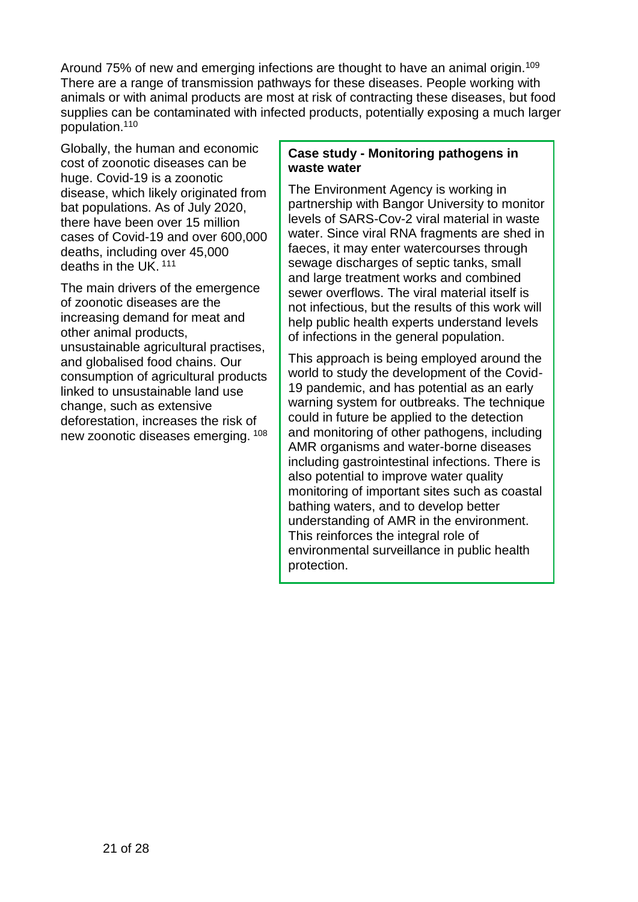Around 75% of new and emerging infections are thought to have an animal origin.<sup>109</sup> There are a range of transmission pathways for these diseases. People working with animals or with animal products are most at risk of contracting these diseases, but food supplies can be contaminated with infected products, potentially exposing a much larger population.<sup>110</sup>

Globally, the human and economic cost of zoonotic diseases can be huge. Covid-19 is a zoonotic disease, which likely originated from bat populations. As of July 2020, there have been over 15 million cases of Covid-19 and over 600,000 deaths, including over 45,000 deaths in the UK.<sup>111</sup>

The main drivers of the emergence of zoonotic diseases are the increasing demand for meat and other animal products, unsustainable agricultural practises, and globalised food chains. Our consumption of agricultural products linked to unsustainable land use change, such as extensive deforestation, increases the risk of new zoonotic diseases emerging. [108](#page-19-3)

### **Case study - Monitoring pathogens in waste water**

The Environment Agency is working in partnership with Bangor University to monitor levels of SARS-Cov-2 viral material in waste water. Since viral RNA fragments are shed in faeces, it may enter watercourses through sewage discharges of septic tanks, small and large treatment works and combined sewer overflows. The viral material itself is not infectious, but the results of this work will help public health experts understand levels of infections in the general population.

This approach is being employed around the world to study the development of the Covid-19 pandemic, and has potential as an early warning system for outbreaks. The technique could in future be applied to the detection and monitoring of other pathogens, including AMR organisms and water-borne diseases including gastrointestinal infections. There is also potential to improve water quality monitoring of important sites such as coastal bathing waters, and to develop better understanding of AMR in the environment. This reinforces the integral role of environmental surveillance in public health protection.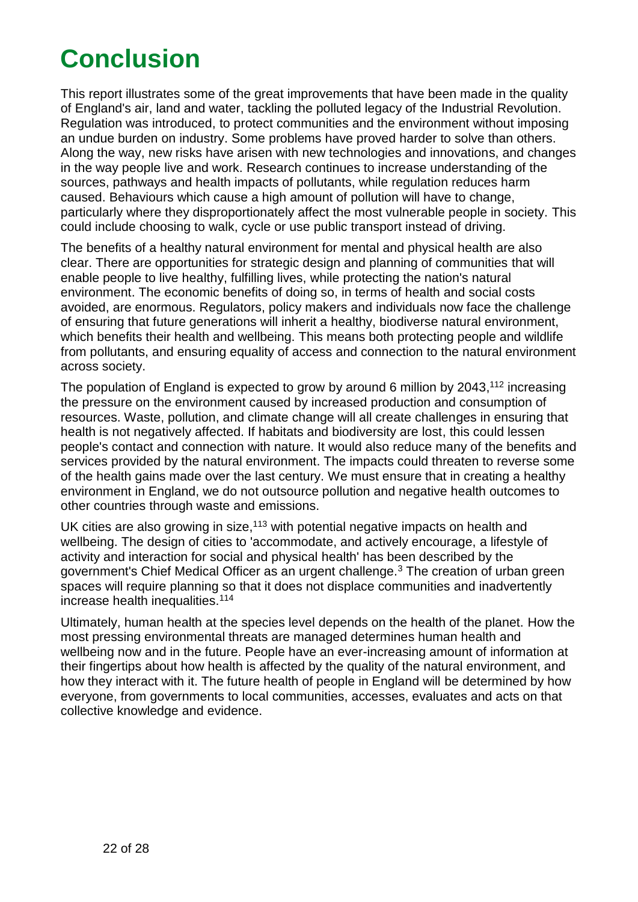# **Conclusion**

<span id="page-21-0"></span>This report illustrates some of the great improvements that have been made in the quality of England's air, land and water, tackling the polluted legacy of the Industrial Revolution. Regulation was introduced, to protect communities and the environment without imposing an undue burden on industry. Some problems have proved harder to solve than others. Along the way, new risks have arisen with new technologies and innovations, and changes in the way people live and work. Research continues to increase understanding of the sources, pathways and health impacts of pollutants, while regulation reduces harm caused. Behaviours which cause a high amount of pollution will have to change, particularly where they disproportionately affect the most vulnerable people in society. This could include choosing to walk, cycle or use public transport instead of driving.

The benefits of a healthy natural environment for mental and physical health are also clear. There are opportunities for strategic design and planning of communities that will enable people to live healthy, fulfilling lives, while protecting the nation's natural environment. The economic benefits of doing so, in terms of health and social costs avoided, are enormous. Regulators, policy makers and individuals now face the challenge of ensuring that future generations will inherit a healthy, biodiverse natural environment, which benefits their health and wellbeing. This means both protecting people and wildlife from pollutants, and ensuring equality of access and connection to the natural environment across society.

The population of England is expected to grow by around 6 million by 2043,<sup>112</sup> increasing the pressure on the environment caused by increased production and consumption of resources. Waste, pollution, and climate change will all create challenges in ensuring that health is not negatively affected. If habitats and biodiversity are lost, this could lessen people's contact and connection with nature. It would also reduce many of the benefits and services provided by the natural environment. The impacts could threaten to reverse some of the health gains made over the last century. We must ensure that in creating a healthy environment in England, we do not outsource pollution and negative health outcomes to other countries through waste and emissions.

UK cities are also growing in size,  $113$  with potential negative impacts on health and wellbeing. The design of cities to 'accommodate, and actively encourage, a lifestyle of activity and interaction for social and physical health' has been described by the government's Chief Medical Officer as an urgent challenge.<sup>3</sup> The creation of urban green spaces will require planning so that it does not displace communities and inadvertently increase health inequalities.<sup>114</sup>

Ultimately, human health at the species level depends on the health of the planet. How the most pressing environmental threats are managed determines human health and wellbeing now and in the future. People have an ever-incre[as](#page-4-1)ing amount of information at their fingertips about how health is affected by the quality of the natural environment, and how they interact with it. The future health of people in England will be determined by how everyone, from governments to local communities, accesses, evaluates and acts on that collective knowledge and evidence.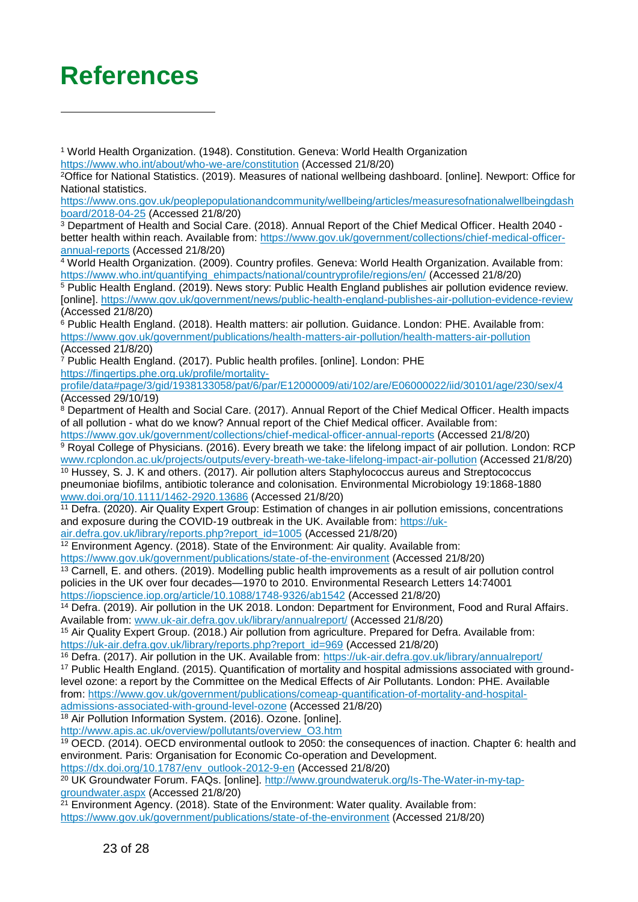## <span id="page-22-0"></span>**References**

l

<sup>2</sup>Office for National Statistics. (2019). Measures of national wellbeing dashboard. [online]. Newport: Office for National statistics.

[https://www.ons.gov.uk/peoplepopulationandcommunity/wellbeing/articles/measuresofnationalwellbeingdash](https://www.ons.gov.uk/peoplepopulationandcommunity/wellbeing/articles/measuresofnationalwellbeingdashboard/2018-04-25) [board/2018-04-25](https://www.ons.gov.uk/peoplepopulationandcommunity/wellbeing/articles/measuresofnationalwellbeingdashboard/2018-04-25) (Accessed 21/8/20)

3 Department of Health and Social Care. (2018). Annual Report of the Chief Medical Officer. Health 2040 better health within reach. Available from: [https://www.gov.uk/government/collections/chief-medical-officer](https://www.gov.uk/government/collections/chief-medical-officer-annual-reports)[annual-reports](https://www.gov.uk/government/collections/chief-medical-officer-annual-reports) (Accessed 21/8/20)

4 World Health Organization. (2009). Country profiles. Geneva: World Health Organization. Available from: [https://www.who.int/quantifying\\_ehimpacts/national/countryprofile/regions/en/](https://www.who.int/quantifying_ehimpacts/national/countryprofile/regions/en/) (Accessed 21/8/20)

5 Public Health England. (2019). News story: Public Health England publishes air pollution evidence review. [online].<https://www.gov.uk/government/news/public-health-england-publishes-air-pollution-evidence-review> (Accessed 21/8/20)

<sup>6</sup> Public Health England. (2018). Health matters: air pollution. Guidance. London: PHE. Available from: <https://www.gov.uk/government/publications/health-matters-air-pollution/health-matters-air-pollution> (Accessed 21/8/20)

7 Public Health England. (2017). Public health profiles. [online]. London: PHE

https://fingertips.phe.org.uk/profile/mortality-

profile/data#page/3/gid/1938133058/pat/6/par/E12000009/ati/102/are/E06000022/iid/30101/age/230/sex/4 (Accessed 29/10/19)

<sup>8</sup> Department of Health and Social Care. (2017). Annual Report of the Chief Medical Officer. Health impacts of all pollution - what do we know? Annual report of the Chief Medical officer. Available from: <https://www.gov.uk/government/collections/chief-medical-officer-annual-reports>(Accessed 21/8/20)

<sup>9</sup> Royal College of Physicians. (2016). Every breath we take: the lifelong impact of air pollution. London: RCP [www.rcplondon.ac.uk/projects/outputs/every-breath-we-take-lifelong-impact-air-pollution](http://www.rcplondon.ac.uk/projects/outputs/every-breath-we-take-lifelong-impact-air-pollution) (Accessed 21/8/20) <sup>10</sup> Hussey, S. J. K and others. (2017). Air pollution alters Staphylococcus aureus and Streptococcus

pneumoniae biofilms, antibiotic tolerance and colonisation. Environmental Microbiology 19:1868-1880 [www.doi.org/10.1111/1462-2920.13686](http://www.doi.org/10.1111/1462-2920.13686) (Accessed 21/8/20)

<sup>11</sup> Defra. (2020). Air Quality Expert Group: Estimation of changes in air pollution emissions, concentrations and exposure during the COVID-19 outbreak in the UK. Available from: [https://uk-](https://uk-air.defra.gov.uk/library/reports.php?report_id=1005)

[air.defra.gov.uk/library/reports.php?report\\_id=1005](https://uk-air.defra.gov.uk/library/reports.php?report_id=1005) (Accessed 21/8/20)

 $12$  Environment Agency. (2018). State of the Environment: Air quality. Available from:

<https://www.gov.uk/government/publications/state-of-the-environment>(Accessed 21/8/20)

 $\frac{13}{13}$  Carnell, E. and others. (2019). Modelling public health improvements as a result of air pollution control policies in the UK over four decades—1970 to 2010. Environmental Research Letters 14:74001 <https://iopscience.iop.org/article/10.1088/1748-9326/ab1542>(Accessed 21/8/20)

<sup>14</sup> Defra. (2019). Air pollution in the UK 2018. London: Department for Environment, Food and Rural Affairs. Available from: [www.uk-air.defra.gov.uk/library/annualreport/](http://www.uk-air.defra.gov.uk/library/annualreport/) (Accessed 21/8/20)

<sup>15</sup> Air Quality Expert Group. (2018.) Air pollution from agriculture. Prepared for Defra. Available from: [https://uk-air.defra.gov.uk/library/reports.php?report\\_id=969](https://uk-air.defra.gov.uk/library/reports.php?report_id=969) (Accessed 21/8/20)

<sup>16</sup> Defra. (2017). Air pollution in the UK. Available from: https://uk-air.defra.gov.uk/library/annualreport/

17 Public Health England. (2015). Quantification of mortality and hospital admissions associated with groundlevel ozone: a report by the Committee on the Medical Effects of Air Pollutants. London: PHE. Available from: [https://www.gov.uk/government/publications/comeap-quantification-of-mortality-and-hospital](https://www.gov.uk/government/publications/comeap-quantification-of-mortality-and-hospital-admissions-associated-with-ground-level-ozone)[admissions-associated-with-ground-level-ozone](https://www.gov.uk/government/publications/comeap-quantification-of-mortality-and-hospital-admissions-associated-with-ground-level-ozone) (Accessed 21/8/20)

<sup>18</sup> Air Pollution Information System. (2016). Ozone. [online]. [http://www.apis.ac.uk/overview/pollutants/overview\\_O3.htm](http://www.apis.ac.uk/overview/pollutants/overview_O3.htm) 

<sup>19</sup> OECD. (2014). OECD environmental outlook to 2050: the consequences of inaction. Chapter 6: health and environment. Paris: Organisation for Economic Co-operation and Development.

https://dx.doi.org/10.1787/env\_outlook-2012-9-en (Accessed 21/8/20)

20 UK Groundwater Forum. FAQs. [online]. [http://www.groundwateruk.org/Is-The-Water-in-my-tap](http://www.groundwateruk.org/Is-The-Water-in-my-tap-groundwater.aspx)[groundwater.aspx](http://www.groundwateruk.org/Is-The-Water-in-my-tap-groundwater.aspx) (Accessed 21/8/20)

 $21$  Environment Agency. (2018). State of the Environment: Water quality. Available from: <https://www.gov.uk/government/publications/state-of-the-environment>(Accessed 21/8/20)

<sup>1</sup> World Health Organization. (1948). Constitution. Geneva: World Health Organization <https://www.who.int/about/who-we-are/constitution>(Accessed 21/8/20)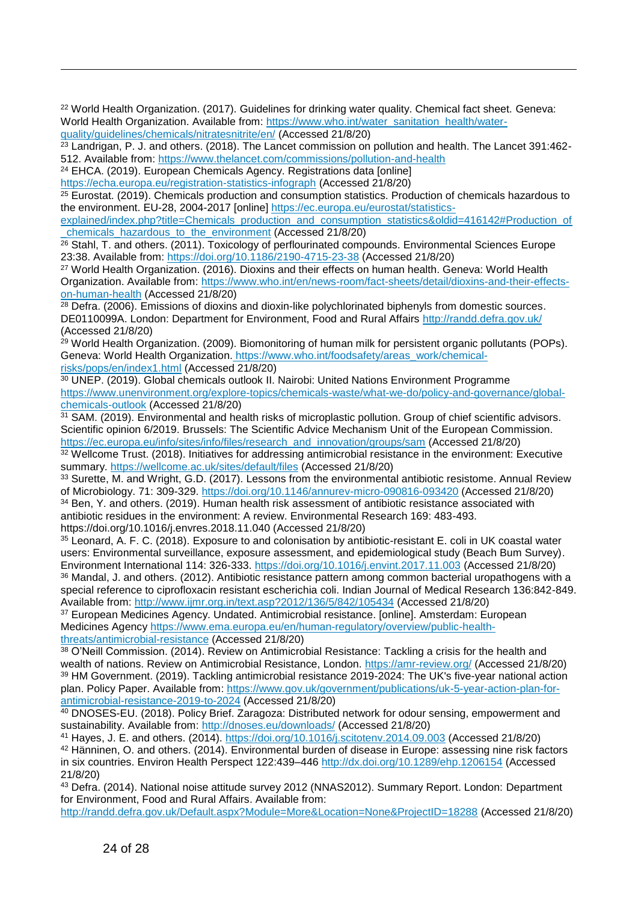<sup>22</sup> World Health Organization. (2017). Guidelines for drinking water quality. Chemical fact sheet. Geneva: World Health Organization. Available from: [https://www.who.int/water\\_sanitation\\_health/water](https://www.who.int/water_sanitation_health/water-quality/guidelines/chemicals/nitratesnitrite/en/)[quality/guidelines/chemicals/nitratesnitrite/en/ \(](https://www.who.int/water_sanitation_health/water-quality/guidelines/chemicals/nitratesnitrite/en/)Accessed 21/8/20)

<sup>23</sup> Landrigan, P. J. and others. (2018). The Lancet commission on pollution and health. The Lancet 391:462-512. Available from:<https://www.thelancet.com/commissions/pollution-and-health>

<sup>24</sup> EHCA. (2019). European Chemicals Agency. Registrations data [online]

l

<https://echa.europa.eu/registration-statistics-infograph>(Accessed 21/8/20)

<sup>25</sup> Eurostat. (2019). Chemicals production and consumption statistics. Production of chemicals hazardous to the environment. EU-28, 2004-2017 [online] [https://ec.europa.eu/eurostat/statistics-](https://ec.europa.eu/eurostat/statistics-explained/index.php?title=Chemicals_production_and_consumption_statistics&oldid=416142#Production_of_chemicals_hazardous_to_the_environment)

[explained/index.php?title=Chemicals\\_production\\_and\\_consumption\\_statistics&oldid=416142#Production\\_of](https://ec.europa.eu/eurostat/statistics-explained/index.php?title=Chemicals_production_and_consumption_statistics&oldid=416142#Production_of_chemicals_hazardous_to_the_environment) [\\_chemicals\\_hazardous\\_to\\_the\\_environment](https://ec.europa.eu/eurostat/statistics-explained/index.php?title=Chemicals_production_and_consumption_statistics&oldid=416142#Production_of_chemicals_hazardous_to_the_environment) (Accessed 21/8/20)

<sup>26</sup> Stahl, T. and others. (2011). Toxicology of perflourinated compounds. Environmental Sciences Europe 23:38. Available from:<https://doi.org/10.1186/2190-4715-23-38>(Accessed 21/8/20)

<sup>27</sup> World Health Organization. (2016). Dioxins and their effects on human health. Geneva: World Health Organization. Available from: [https://www.who.int/en/news-room/fact-sheets/detail/dioxins-and-their-effects](https://www.who.int/en/news-room/fact-sheets/detail/dioxins-and-their-effects-on-human-health)[on-human-health \(](https://www.who.int/en/news-room/fact-sheets/detail/dioxins-and-their-effects-on-human-health)Accessed 21/8/20)

<sup>28</sup> Defra. (2006). Emissions of dioxins and dioxin-like polychlorinated biphenyls from domestic sources. DE0110099A. London: Department for Environment, Food and Rural Affairs http://randd.defra.gov.uk/ (Accessed 21/8/20)

<sup>29</sup> World Health Organization. (2009). Biomonitoring of human milk for persistent organic pollutants (POPs). Geneva: World Health Organization. [https://www.who.int/foodsafety/areas\\_work/chemical](https://www.who.int/foodsafety/areas_work/chemical-risks/pops/en/index1.html)[risks/pops/en/index1.html](https://www.who.int/foodsafety/areas_work/chemical-risks/pops/en/index1.html) (Accessed 21/8/20)

<sup>30</sup> UNEP. (2019). Global chemicals outlook II. Nairobi: United Nations Environment Programme [https://www.unenvironment.org/explore-topics/chemicals-waste/what-we-do/policy-and-governance/global](https://www.unenvironment.org/explore-topics/chemicals-waste/what-we-do/policy-and-governance/global-chemicals-outlook)[chemicals-outlook](https://www.unenvironment.org/explore-topics/chemicals-waste/what-we-do/policy-and-governance/global-chemicals-outlook) (Accessed 21/8/20)

31 SAM. (2019). Environmental and health risks of microplastic pollution. Group of chief scientific advisors. Scientific opinion 6/2019. Brussels: The Scientific Advice Mechanism Unit of the European Commission. https://ec.europa.eu/info/sites/info/files/research\_and\_innovation/groups/sam (Accessed 21/8/20)

<sup>32</sup> Wellcome Trust. (2018). Initiatives for addressing antimicrobial resistance in the environment: Executive summary. https://wellcome.ac.uk/sites/default/files (Accessed 21/8/20)

33 Surette, M. and Wright, G.D. (2017). Lessons from the environmental antibiotic resistome. Annual Review of Microbiology. 71: 309-329.<https://doi.org/10.1146/annurev-micro-090816-093420>(Accessed 21/8/20) <sup>34</sup> Ben, Y. and others. (2019). Human health risk assessment of antibiotic resistance associated with antibiotic residues in the environment: A review. Environmental Research 169: 483-493. https://doi.org/10.1016/j.envres.2018.11.040 (Accessed 21/8/20)

<sup>35</sup> Leonard, A. F. C. (2018). Exposure to and colonisation by antibiotic-resistant E. coli in UK coastal water users: Environmental surveillance, exposure assessment, and epidemiological study (Beach Bum Survey). Environment International 114: 326-333. [https://doi.org/10.1016/j.envint.2017.11.003 \(](https://doi.org/10.1016/j.envint.2017.11.003)Accessed 21/8/20) <sup>36</sup> Mandal, J. and others. (2012). Antibiotic resistance pattern among common bacterial uropathogens with a special reference to ciprofloxacin resistant escherichia coli. Indian Journal of Medical Research 136:842-849. Available from:<http://www.ijmr.org.in/text.asp?2012/136/5/842/105434>(Accessed 21/8/20)

37 European Medicines Agency. Undated. Antimicrobial resistance. [online]. Amsterdam: European Medicines Agency [https://www.ema.europa.eu/en/human-regulatory/overview/public-health](https://www.ema.europa.eu/en/human-regulatory/overview/public-health-threats/antimicrobial-resistance)[threats/antimicrobial-resistance](https://www.ema.europa.eu/en/human-regulatory/overview/public-health-threats/antimicrobial-resistance) (Accessed 21/8/20)

 $38$  O'Neill Commission. (2014). Review on Antimicrobial Resistance: Tackling a crisis for the health and wealth of nations. Review on Antimicrobial Resistance, London.<https://amr-review.org/>(Accessed 21/8/20) <sup>39</sup> HM Government. (2019). Tackling antimicrobial resistance 2019-2024: The UK's five-year national action plan. Policy Paper. Available from: [https://www.gov.uk/government/publications/uk-5-year-action-plan-for](https://www.gov.uk/government/publications/uk-5-year-action-plan-for-antimicrobial-resistance-2019-to-2024)[antimicrobial-resistance-2019-to-2024](https://www.gov.uk/government/publications/uk-5-year-action-plan-for-antimicrobial-resistance-2019-to-2024) (Accessed 21/8/20)

<sup>40</sup> DNOSES-EU. (2018). Policy Brief. Zaragoza: Distributed network for odour sensing, empowerment and sustainability. Available from:<http://dnoses.eu/downloads/>(Accessed 21/8/20)

<sup>41</sup> Hayes, J. E. and others. (2014).<https://doi.org/10.1016/j.scitotenv.2014.09.003>(Accessed 21/8/20) 42 Hänninen, O. and others. (2014). Environmental burden of disease in Europe: assessing nine risk factors in six countries. Environ Health Perspect 122:439–446<http://dx.doi.org/10.1289/ehp.1206154>(Accessed 21/8/20)

<sup>43</sup> Defra. (2014). National noise attitude survey 2012 (NNAS2012). Summary Report. London: Department for Environment, Food and Rural Affairs. Available from:

<http://randd.defra.gov.uk/Default.aspx?Module=More&Location=None&ProjectID=18288>(Accessed 21/8/20)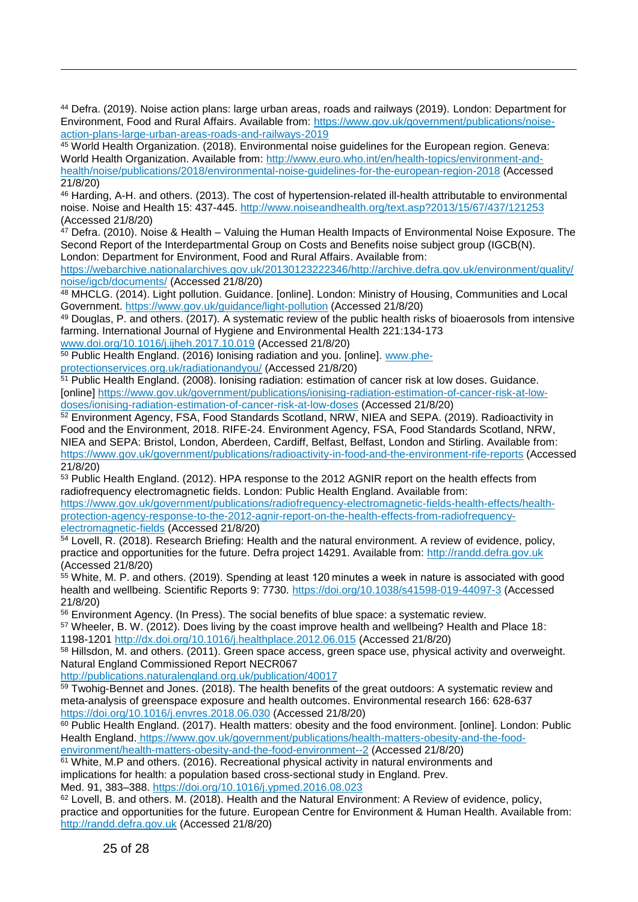<sup>44</sup> Defra. (2019). Noise action plans: large urban areas, roads and railways (2019). London: Department for Environment, Food and Rural Affairs. Available from: [https://www.gov.uk/government/publications/noise](https://www.gov.uk/government/publications/noise-action-plans-large-urban-areas-roads-and-railways-2019)[action-plans-large-urban-areas-roads-and-railways-2019](https://www.gov.uk/government/publications/noise-action-plans-large-urban-areas-roads-and-railways-2019) 

<sup>45</sup> World Health Organization. (2018). Environmental noise guidelines for the European region. Geneva: World Health Organization. Available from: [http://www.euro.who.int/en/health-topics/environment-and](http://www.euro.who.int/en/health-topics/environment-and-health/noise/publications/2018/environmental-noise-guidelines-for-the-european-region-2018)[health/noise/publications/2018/environmental-noise-guidelines-for-the-european-region-2018](http://www.euro.who.int/en/health-topics/environment-and-health/noise/publications/2018/environmental-noise-guidelines-for-the-european-region-2018) (Accessed 21/8/20)

<sup>46</sup> Harding, A-H. and others. (2013). The cost of hypertension-related ill-health attributable to environmental noise. Noise and Health 15: 437-445.<http://www.noiseandhealth.org/text.asp?2013/15/67/437/121253> (Accessed 21/8/20)

 $47$  Defra. (2010). Noise & Health – Valuing the Human Health Impacts of Environmental Noise Exposure. The Second Report of the Interdepartmental Group on Costs and Benefits noise subject group (IGCB(N). London: Department for Environment, Food and Rural Affairs. Available from:

https://webarchive.nationalarchives.gov.uk/20130123222346/http://archive.defra.gov.uk/environment/quality/ noise/igcb/documents/ (Accessed 21/8/20)

<sup>48</sup> MHCLG. (2014). Light pollution. Guidance. [online]. London: Ministry of Housing, Communities and Local Government. [https://www.gov.uk/guidance/light-pollution \(](https://www.gov.uk/guidance/light-pollution)Accessed 21/8/20)

<sup>49</sup> Douglas, P. and others. (2017). A systematic review of the public health risks of bioaerosols from intensive farming. International Journal of Hygiene and Environmental Health 221:134-173 [www.doi.org/10.1016/j.ijheh.2017.10.019](http://www.doi.org/10.1016/j.ijheh.2017.10.019) (Accessed 21/8/20)

50 Public Health England. (2016) Ionising radiation and you. [online]. [www.phe](http://www.phe-protectionservices.org.uk/radiationandyou/)[protectionservices.org.uk/radiationandyou/](http://www.phe-protectionservices.org.uk/radiationandyou/) (Accessed 21/8/20)

<sup>51</sup> Public Health England. (2008). Ionising radiation: estimation of cancer risk at low doses. Guidance. [online] [https://www.gov.uk/government/publications/ionising-radiation-estimation-of-cancer-risk-at-low](https://www.gov.uk/government/publications/ionising-radiation-estimation-of-cancer-risk-at-low-doses/ionising-radiation-estimation-of-cancer-risk-at-low-doses)[doses/ionising-radiation-estimation-of-cancer-risk-at-low-doses](https://www.gov.uk/government/publications/ionising-radiation-estimation-of-cancer-risk-at-low-doses/ionising-radiation-estimation-of-cancer-risk-at-low-doses) (Accessed 21/8/20)

<sup>52</sup> Environment Agency, FSA, Food Standards Scotland, NRW, NIEA and SEPA. (2019). Radioactivity in Food and the Environment, 2018. RIFE-24. Environment Agency, FSA, Food Standards Scotland, NRW, NIEA and SEPA: Bristol, London, Aberdeen, Cardiff, Belfast, Belfast, London and Stirling. Available from: <https://www.gov.uk/government/publications/radioactivity-in-food-and-the-environment-rife-reports>(Accessed 21/8/20)

53 Public Health England. (2012). HPA response to the 2012 AGNIR report on the health effects from radiofrequency electromagnetic fields. London: Public Health England. Available from:

[https://www.gov.uk/government/publications/radiofrequency-electromagnetic-fields-health-effects/health](https://www.gov.uk/government/publications/radiofrequency-electromagnetic-fields-health-effects/health-protection-agency-response-to-the-2012-agnir-report-on-the-health-effects-from-radiofrequency-electromagnetic-fields)[protection-agency-response-to-the-2012-agnir-report-on-the-health-effects-from-radiofrequency](https://www.gov.uk/government/publications/radiofrequency-electromagnetic-fields-health-effects/health-protection-agency-response-to-the-2012-agnir-report-on-the-health-effects-from-radiofrequency-electromagnetic-fields)[electromagnetic-fields](https://www.gov.uk/government/publications/radiofrequency-electromagnetic-fields-health-effects/health-protection-agency-response-to-the-2012-agnir-report-on-the-health-effects-from-radiofrequency-electromagnetic-fields) (Accessed 21/8/20)

<sup>54</sup> Lovell, R. (2018). Research Briefing: Health and the natural environment. A review of evidence, policy, practice and opportunities for the future. Defra project 14291. Available from: [http://randd.defra.gov.uk](http://randd.defra.gov.uk/) (Accessed 21/8/20)

<sup>55</sup> White, M. P. and others. (2019). Spending at least 120 minutes a week in nature is associated with good health and wellbeing. Scientific Reports 9: 7730.<https://doi.org/10.1038/s41598-019-44097-3>(Accessed 21/8/20)

<sup>56</sup> Environment Agency. (In Press). The social benefits of blue space: a systematic review.

<sup>57</sup> Wheeler, B. W. (2012). Does living by the coast improve health and wellbeing? Health and Place 18: 1198-1201<http://dx.doi.org/10.1016/j.healthplace.2012.06.015>(Accessed 21/8/20)

<sup>58</sup> Hillsdon, M. and others. (2011). Green space access, green space use, physical activity and overweight. Natural England Commissioned Report NECR067

<http://publications.naturalengland.org.uk/publication/40017>

<sup>59</sup> Twohig-Bennet and Jones. (2018). The health benefits of the great outdoors: A systematic review and meta-analysis of greenspace exposure and health outcomes. Environmental research 166: 628-637 <https://doi.org/10.1016/j.envres.2018.06.030>(Accessed 21/8/20)

<sup>60</sup> Public Health England. (2017). Health matters: obesity and the food environment. [online]. London: Public Health England. [https://www.gov.uk/government/publications/health-matters-obesity-and-the-food](https://www.gov.uk/government/publications/health-matters-obesity-and-the-food-environment/health-matters-obesity-and-the-food-environment--2)[environment/health-matters-obesity-and-the-food-environment--2](https://www.gov.uk/government/publications/health-matters-obesity-and-the-food-environment/health-matters-obesity-and-the-food-environment--2) (Accessed 21/8/20)

 $61$  White, M.P and others. (2016). Recreational physical activity in natural environments and

implications for health: a population based cross-sectional study in England. Prev.

Med. 91, 383–388.<https://doi.org/10.1016/j.ypmed.2016.08.023>

 $62$  Lovell, B. and others. M. (2018). Health and the Natural Environment: A Review of evidence, policy, practice and opportunities for the future. European Centre for Environment & Human Health. Available from: [http://randd.defra.gov.uk](http://randd.defra.gov.uk/) (Accessed 21/8/20)

l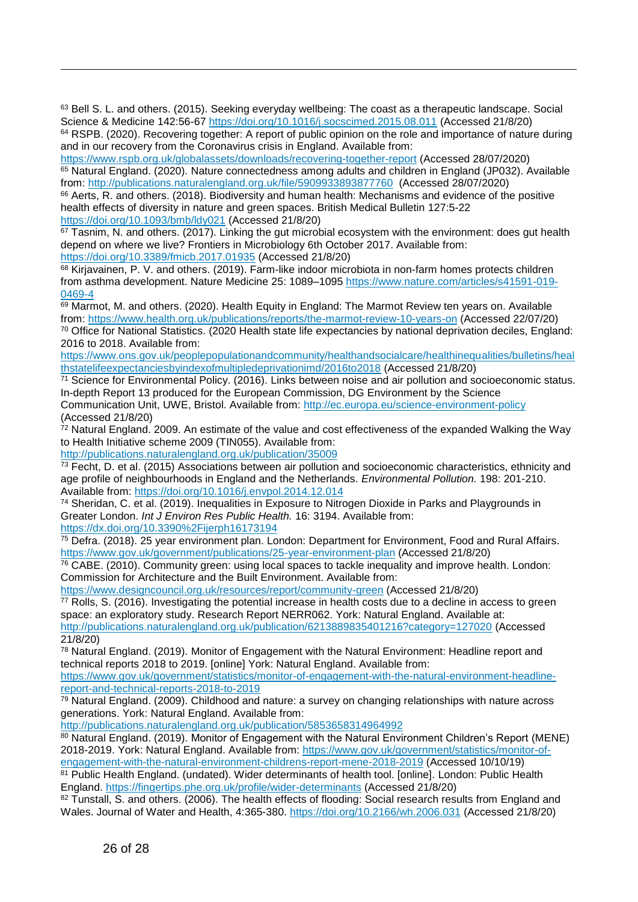63 Bell S. L. and others. (2015). Seeking everyday wellbeing: The coast as a therapeutic landscape. Social Science & Medicine 142:56-67<https://doi.org/10.1016/j.socscimed.2015.08.011>(Accessed 21/8/20) <sup>64</sup> RSPB. (2020). Recovering together: A report of public opinion on the role and importance of nature during and in our recovery from the Coronavirus crisis in England. Available from:

https://www.rspb.org.uk/globalassets/downloads/recovering-together-report (Accessed 28/07/2020) <sup>65</sup> Natural England. (2020). Nature connectedness among adults and children in England (JP032). Available from:<http://publications.naturalengland.org.uk/file/5909933893877760>(Accessed 28/07/2020)

<sup>66</sup> Aerts, R. and others. (2018). Biodiversity and human health: Mechanisms and evidence of the positive health effects of diversity in nature and green spaces. British Medical Bulletin 127:5-22 <https://doi.org/10.1093/bmb/ldy021>(Accessed 21/8/20)

 $67$  Tasnim, N. and others. (2017). Linking the gut microbial ecosystem with the environment: does gut health depend on where we live? Frontiers in Microbiology 6th October 2017. Available from: <https://doi.org/10.3389/fmicb.2017.01935>(Accessed 21/8/20)

68 Kirjavainen, P. V. and others. (2019). Farm-like indoor microbiota in non-farm homes protects children from asthma development. Nature Medicine 25: 1089–1095 [https://www.nature.com/articles/s41591-019-](https://www.nature.com/articles/s41591-019-0469-4) [0469-4](https://www.nature.com/articles/s41591-019-0469-4) 

 $69$  Marmot, M. and others. (2020). Health Equity in England: The Marmot Review ten years on. Available from:<https://www.health.org.uk/publications/reports/the-marmot-review-10-years-on>(Accessed 22/07/20) <sup>70</sup> Office for National Statistics. (2020 Health state life expectancies by national deprivation deciles, England: 2016 to 2018. Available from:

https://www.ons.gov.uk/peoplepopulationandcommunity/healthandsocialcare/healthinequalities/bulletins/heal thstatelifeexpectanciesbyindexofmultipledeprivationimd/2016to2018 (Accessed 21/8/20)

 $71$  Science for Environmental Policy. (2016). Links between noise and air pollution and socioeconomic status. In-depth Report 13 produced for the European Commission, DG Environment by the Science Communication Unit, UWE, Bristol. Available from:<http://ec.europa.eu/science-environment-policy> (Accessed 21/8/20)

 $72$  Natural England. 2009. An estimate of the value and cost effectiveness of the expanded Walking the Wav to Health Initiative scheme 2009 (TIN055). Available from:

<http://publications.naturalengland.org.uk/publication/35009>

l

 $\frac{73}{12}$  Fecht, D. et al. (2015) Associations between air pollution and socioeconomic characteristics, ethnicity and age profile of neighbourhoods in England and the Netherlands. *Environmental Pollution.* 198: 201-210. Available from:<https://doi.org/10.1016/j.envpol.2014.12.014>

<sup>74</sup> Sheridan, C. et al. (2019). Inequalities in Exposure to Nitrogen Dioxide in Parks and Playgrounds in Greater London. *Int J Environ Res Public Health.* 16: 3194. Available from: <https://dx.doi.org/10.3390%2Fijerph16173194>

<sup>75</sup> Defra. (2018). 25 year environment plan. London: Department for Environment, Food and Rural Affairs. <https://www.gov.uk/government/publications/25-year-environment-plan>(Accessed 21/8/20)

<sup>76</sup> CABE. (2010). Community green: using local spaces to tackle inequality and improve health. London: Commission for Architecture and the Built Environment. Available from:

<https://www.designcouncil.org.uk/resources/report/community-green>(Accessed 21/8/20)

<sup>77</sup> Rolls, S. (2016). Investigating the potential increase in health costs due to a decline in access to green space: an exploratory study. Research Report NERR062. York: Natural England. Available at:

<http://publications.naturalengland.org.uk/publication/6213889835401216?category=127020>(Accessed 21/8/20)

<sup>78</sup> Natural England. (2019). Monitor of Engagement with the Natural Environment: Headline report and technical reports 2018 to 2019. [online] York: Natural England. Available from:

[https://www.gov.uk/government/statistics/monitor-of-engagement-with-the-natural-environment-headline](https://www.gov.uk/government/statistics/monitor-of-engagement-with-the-natural-environment-headline-report-and-technical-reports-2018-to-2019)[report-and-technical-reports-2018-to-2019](https://www.gov.uk/government/statistics/monitor-of-engagement-with-the-natural-environment-headline-report-and-technical-reports-2018-to-2019) 

 $79$  Natural England. (2009). Childhood and nature: a survey on changing relationships with nature across generations. York: Natural England. Available from:

<http://publications.naturalengland.org.uk/publication/5853658314964992>

80 Natural England. (2019). Monitor of Engagement with the Natural Environment Children's Report (MENE) 2018-2019. York: Natural England. Available from: [https://www.gov.uk/government/statistics/monitor-of](https://www.gov.uk/government/statistics/monitor-of-engagement-with-the-natural-environment-childrens-report-mene-2018-2019)[engagement-with-the-natural-environment-childrens-report-mene-2018-2019](https://www.gov.uk/government/statistics/monitor-of-engagement-with-the-natural-environment-childrens-report-mene-2018-2019) (Accessed 10/10/19)

81 Public Health England. (undated). Wider determinants of health tool. [online]. London: Public Health England.<https://fingertips.phe.org.uk/profile/wider-determinants>(Accessed 21/8/20)

82 Tunstall, S. and others. (2006). The health effects of flooding: Social research results from England and Wales. Journal of Water and Health, 4:365-380. [https://doi.org/10.2166/wh.2006.031 \(](https://doi.org/10.2166/wh.2006.031)Accessed 21/8/20)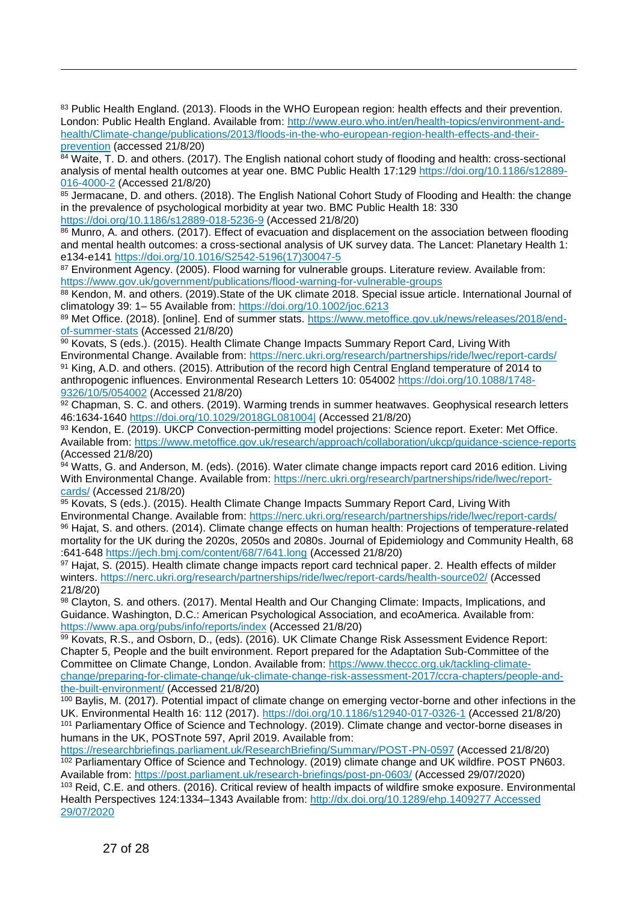83 Public Health England. (2013). Floods in the WHO European region: health effects and their prevention. London: Public Health England. Available from: [http://www.euro.who.int/en/health-topics/environment-and](http://www.euro.who.int/en/health-topics/environment-and-health/Climate-change/publications/2013/floods-in-the-who-european-region-health-effects-and-their-prevention)[health/Climate-change/publications/2013/floods-in-the-who-european-region-health-effects-and-their](http://www.euro.who.int/en/health-topics/environment-and-health/Climate-change/publications/2013/floods-in-the-who-european-region-health-effects-and-their-prevention)[prevention \(](http://www.euro.who.int/en/health-topics/environment-and-health/Climate-change/publications/2013/floods-in-the-who-european-region-health-effects-and-their-prevention)accessed 21/8/20)

 $84$  Waite, T. D. and others. (2017). The English national cohort study of flooding and health: cross-sectional analysis of mental health outcomes at year one. BMC Public Health 17:129 [https://doi.org/10.1186/s12889-](https://doi.org/10.1186/s12889-016-4000-2) [016-4000-2](https://doi.org/10.1186/s12889-016-4000-2) (Accessed 21/8/20)

85 Jermacane, D. and others. (2018). The English National Cohort Study of Flooding and Health: the change in the prevalence of psychological morbidity at year two. BMC Public Health 18: 330 [https://doi.org/10.1186/s12889-018-5236-9 \(](https://doi.org/10.1186/s12889-018-5236-9)Accessed 21/8/20)

86 Munro, A. and others. (2017). Effect of evacuation and displacement on the association between flooding and mental health outcomes: a cross-sectional analysis of UK survey data. The Lancet: Planetary Health 1: e134-e141 [https://doi.org/10.1016/S2542-5196\(17\)30047-5](https://doi.org/10.1016/S2542-5196(17)30047-5) 

87 Environment Agency. (2005). Flood warning for vulnerable groups. Literature review. Available from: <https://www.gov.uk/government/publications/flood-warning-for-vulnerable-groups>

88 Kendon, M. and others. (2019). State of the UK climate 2018. Special issue article. International Journal of climatology 39: 1– 55 Available from:<https://doi.org/10.1002/joc.6213>

89 Met Office. (2018). [online]. End of summer stats. [https://www.metoffice.gov.uk/news/releases/2018/end](https://www.metoffice.gov.uk/news/releases/2018/end-of-summer-stats)[of-summer-stats](https://www.metoffice.gov.uk/news/releases/2018/end-of-summer-stats) (Accessed 21/8/20)

90 Kovats, S (eds.). (2015). Health Climate Change Impacts Summary Report Card, Living With Environmental Change. Available from:<https://nerc.ukri.org/research/partnerships/ride/lwec/report-cards/> 91 King, A.D. and others. (2015). Attribution of the record high Central England temperature of 2014 to anthropogenic influences. Environmental Research Letters 10: 054002 [https://doi.org/10.1088/1748-](https://doi.org/10.1088/1748-9326/10/5/054002) [9326/10/5/054002 \(](https://doi.org/10.1088/1748-9326/10/5/054002)Accessed 21/8/20)

 $92$  Chapman, S. C. and others. (2019). Warming trends in summer heatwaves. Geophysical research letters 46:1634-1640<https://doi.org/10.1029/2018GL081004|>(Accessed 21/8/20)

93 Kendon, E. (2019). UKCP Convection-permitting model projections: Science report. Exeter: Met Office. Available from:<https://www.metoffice.gov.uk/research/approach/collaboration/ukcp/guidance-science-reports> (Accessed 21/8/20)

 $94}$  Watts, G. and Anderson, M. (eds). (2016). Water climate change impacts report card 2016 edition. Living With Environmental Change. Available from: [https://nerc.ukri.org/research/partnerships/ride/lwec/report](https://nerc.ukri.org/research/partnerships/ride/lwec/report-cards/)[cards/](https://nerc.ukri.org/research/partnerships/ride/lwec/report-cards/) (Accessed 21/8/20)

95 Kovats, S (eds.). (2015). Health Climate Change Impacts Summary Report Card, Living With Environmental Change. Available from:<https://nerc.ukri.org/research/partnerships/ride/lwec/report-cards/> <sup>96</sup> Hajat, S. and others. (2014). Climate change effects on human health: Projections of temperature-related mortality for the UK during the 2020s, 2050s and 2080s. Journal of Epidemiology and Community Health, 68 :641-648<https://jech.bmj.com/content/68/7/641.long>(Accessed 21/8/20)

97 Hajat, S. (2015). Health climate change impacts report card technical paper. 2. Health effects of milder winters.<https://nerc.ukri.org/research/partnerships/ride/lwec/report-cards/health-source02/>(Accessed 21/8/20)

98 Clayton, S. and others. (2017). Mental Health and Our Changing Climate: Impacts, Implications, and Guidance. Washington, D.C.: American Psychological Association, and ecoAmerica. Available from: <https://www.apa.org/pubs/info/reports/index>(Accessed 21/8/20)

99 Kovats, R.S., and Osborn, D., (eds). (2016). UK Climate Change Risk Assessment Evidence Report: Chapter 5, People and the built environment. Report prepared for the Adaptation Sub-Committee of the Committee on Climate Change, London. Available from: [https://www.theccc.org.uk/tackling-climate](https://www.theccc.org.uk/tackling-climate-change/preparing-for-climate-change/uk-climate-change-risk-assessment-2017/ccra-chapters/people-and-the-built-environment/)[change/preparing-for-climate-change/uk-climate-change-risk-assessment-2017/ccra-chapters/people-and](https://www.theccc.org.uk/tackling-climate-change/preparing-for-climate-change/uk-climate-change-risk-assessment-2017/ccra-chapters/people-and-the-built-environment/)[the-built-environment/](https://www.theccc.org.uk/tackling-climate-change/preparing-for-climate-change/uk-climate-change-risk-assessment-2017/ccra-chapters/people-and-the-built-environment/) (Accessed 21/8/20)

<sup>100</sup> Baylis, M. (2017). Potential impact of climate change on emerging vector-borne and other infections in the UK. Environmental Health 16: 112 (2017).<https://doi.org/10.1186/s12940-017-0326-1>(Accessed 21/8/20) <sup>101</sup> Parliamentary Office of Science and Technology. (2019). Climate change and vector-borne diseases in humans in the UK, POSTnote 597, April 2019. Available from:

<https://researchbriefings.parliament.uk/ResearchBriefing/Summary/POST-PN-0597>(Accessed 21/8/20) <sup>102</sup> Parliamentary Office of Science and Technology. (2019) climate change and UK wildfire. POST PN603. Available from:<https://post.parliament.uk/research-briefings/post-pn-0603/>(Accessed 29/07/2020)

103 Reid, C.E. and others. (2016). Critical review of health impacts of wildfire smoke exposure. Environmental Health Perspectives 124:1334–1343 Available from: [http://dx.doi.org/10.1289/ehp.1409277 Accessed](http://dx.doi.org/10.1289/ehp.1409277%20Accessed%2029/07/2020)  [29/07/2020](http://dx.doi.org/10.1289/ehp.1409277%20Accessed%2029/07/2020) 

l